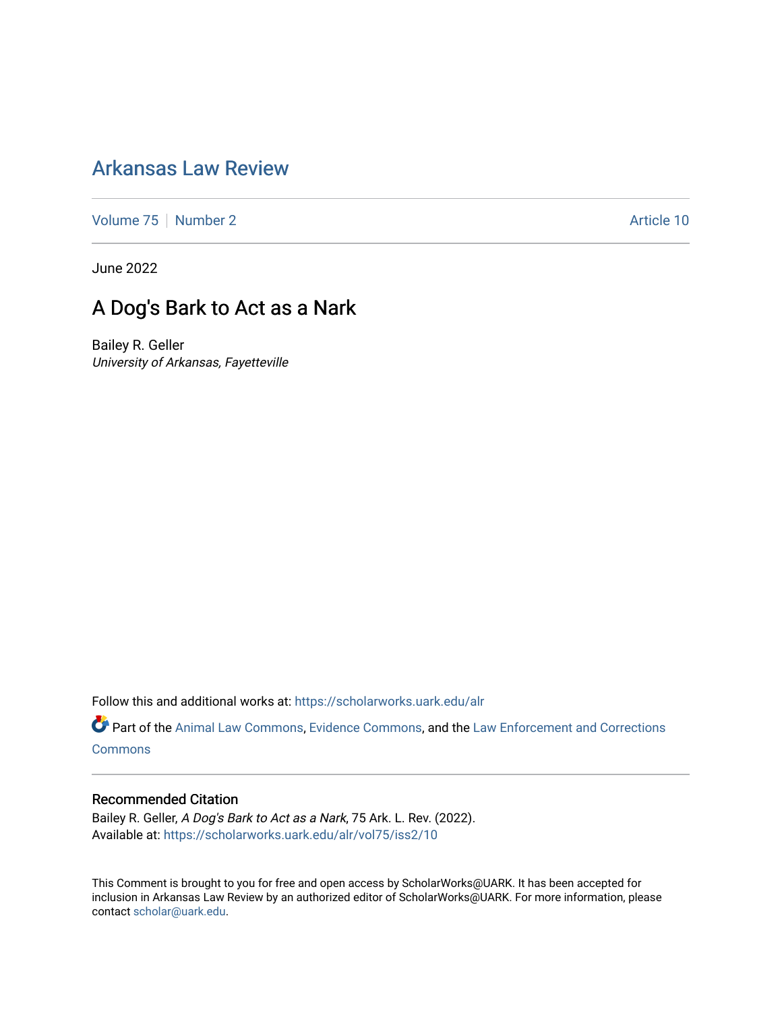## [Arkansas Law Review](https://scholarworks.uark.edu/alr)

[Volume 75](https://scholarworks.uark.edu/alr/vol75) [Number 2](https://scholarworks.uark.edu/alr/vol75/iss2) Article 10

June 2022

# A Dog's Bark to Act as a Nark

Bailey R. Geller University of Arkansas, Fayetteville

Follow this and additional works at: [https://scholarworks.uark.edu/alr](https://scholarworks.uark.edu/alr?utm_source=scholarworks.uark.edu%2Falr%2Fvol75%2Fiss2%2F10&utm_medium=PDF&utm_campaign=PDFCoverPages) 

Part of the [Animal Law Commons,](https://network.bepress.com/hgg/discipline/831?utm_source=scholarworks.uark.edu%2Falr%2Fvol75%2Fiss2%2F10&utm_medium=PDF&utm_campaign=PDFCoverPages) [Evidence Commons,](https://network.bepress.com/hgg/discipline/601?utm_source=scholarworks.uark.edu%2Falr%2Fvol75%2Fiss2%2F10&utm_medium=PDF&utm_campaign=PDFCoverPages) and the Law Enforcement and Corrections **[Commons](https://network.bepress.com/hgg/discipline/854?utm_source=scholarworks.uark.edu%2Falr%2Fvol75%2Fiss2%2F10&utm_medium=PDF&utm_campaign=PDFCoverPages)** 

## Recommended Citation

Bailey R. Geller, A Dog's Bark to Act as a Nark, 75 Ark. L. Rev. (2022). Available at: [https://scholarworks.uark.edu/alr/vol75/iss2/10](https://scholarworks.uark.edu/alr/vol75/iss2/10?utm_source=scholarworks.uark.edu%2Falr%2Fvol75%2Fiss2%2F10&utm_medium=PDF&utm_campaign=PDFCoverPages) 

This Comment is brought to you for free and open access by ScholarWorks@UARK. It has been accepted for inclusion in Arkansas Law Review by an authorized editor of ScholarWorks@UARK. For more information, please contact [scholar@uark.edu.](mailto:scholar@uark.edu)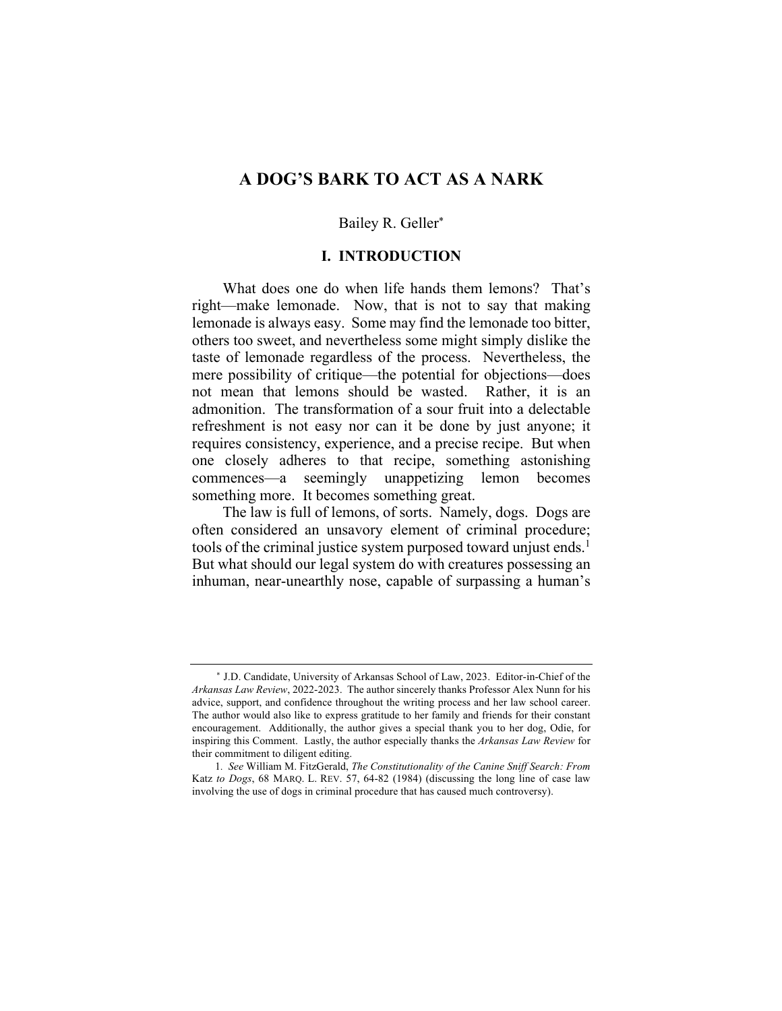## **A DOG'S BARK TO ACT AS A NARK**

#### Bailey R. Geller\*

## **I. INTRODUCTION**

What does one do when life hands them lemons? That's right—make lemonade. Now, that is not to say that making lemonade is always easy. Some may find the lemonade too bitter, others too sweet, and nevertheless some might simply dislike the taste of lemonade regardless of the process. Nevertheless, the mere possibility of critique—the potential for objections—does not mean that lemons should be wasted. Rather, it is an admonition. The transformation of a sour fruit into a delectable refreshment is not easy nor can it be done by just anyone; it requires consistency, experience, and a precise recipe. But when one closely adheres to that recipe, something astonishing commences—a seemingly unappetizing lemon becomes something more. It becomes something great.

The law is full of lemons, of sorts. Namely, dogs. Dogs are often considered an unsavory element of criminal procedure; tools of the criminal justice system purposed toward unjust ends.<sup>1</sup> But what should our legal system do with creatures possessing an inhuman, near-unearthly nose, capable of surpassing a human's

\* J.D. Candidate, University of Arkansas School of Law, 2023. Editor-in-Chief of the *Arkansas Law Review*, 2022-2023. The author sincerely thanks Professor Alex Nunn for his advice, support, and confidence throughout the writing process and her law school career. The author would also like to express gratitude to her family and friends for their constant encouragement. Additionally, the author gives a special thank you to her dog, Odie, for inspiring this Comment. Lastly, the author especially thanks the *Arkansas Law Review* for their commitment to diligent editing.

<sup>1</sup>*. See* William M. FitzGerald, *The Constitutionality of the Canine Sniff Search: From*  Katz *to Dogs*, 68 MARQ. L. REV. 57, 64-82 (1984) (discussing the long line of case law involving the use of dogs in criminal procedure that has caused much controversy).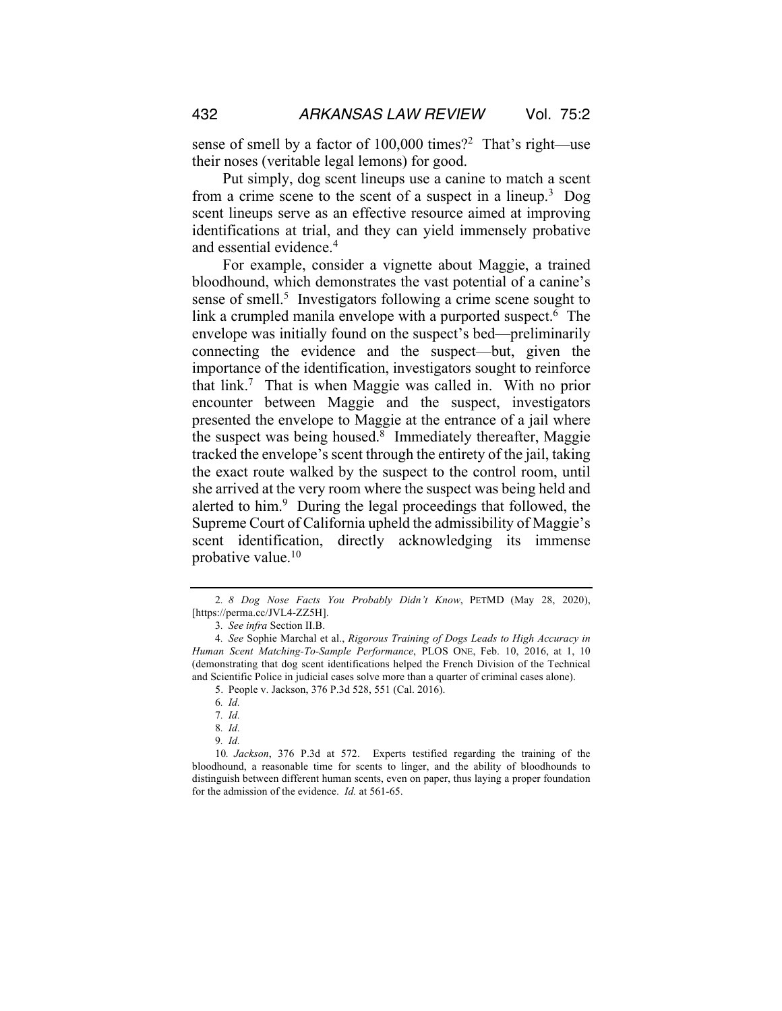sense of smell by a factor of  $100,000$  times?<sup>2</sup> That's right—use their noses (veritable legal lemons) for good.

Put simply, dog scent lineups use a canine to match a scent from a crime scene to the scent of a suspect in a lineup.<sup>3</sup> Dog scent lineups serve as an effective resource aimed at improving identifications at trial, and they can yield immensely probative and essential evidence.<sup>4</sup>

For example, consider a vignette about Maggie, a trained bloodhound, which demonstrates the vast potential of a canine's sense of smell.<sup>5</sup> Investigators following a crime scene sought to link a crumpled manila envelope with a purported suspect.<sup>6</sup> The envelope was initially found on the suspect's bed—preliminarily connecting the evidence and the suspect—but, given the importance of the identification, investigators sought to reinforce that link.7 That is when Maggie was called in. With no prior encounter between Maggie and the suspect, investigators presented the envelope to Maggie at the entrance of a jail where the suspect was being housed. $8$  Immediately thereafter, Maggie tracked the envelope's scent through the entirety of the jail, taking the exact route walked by the suspect to the control room, until she arrived at the very room where the suspect was being held and alerted to him.<sup>9</sup> During the legal proceedings that followed, the Supreme Court of California upheld the admissibility of Maggie's scent identification, directly acknowledging its immense probative value.10

7*. Id.*

<sup>2</sup>*. 8 Dog Nose Facts You Probably Didn't Know*, PETMD (May 28, 2020), [https://perma.cc/JVL4-ZZ5H].

<sup>3</sup>*. See infra* Section II.B.

<sup>4</sup>*. See* Sophie Marchal et al., *Rigorous Training of Dogs Leads to High Accuracy in Human Scent Matching-To-Sample Performance*, PLOS ONE, Feb. 10, 2016, at 1, 10 (demonstrating that dog scent identifications helped the French Division of the Technical and Scientific Police in judicial cases solve more than a quarter of criminal cases alone).

<sup>5.</sup> People v. Jackson, 376 P.3d 528, 551 (Cal. 2016).

<sup>6</sup>*. Id.*

<sup>8</sup>*. Id.*

<sup>9</sup>*. Id.*

<sup>10</sup>*. Jackson*, 376 P.3d at 572. Experts testified regarding the training of the bloodhound, a reasonable time for scents to linger, and the ability of bloodhounds to distinguish between different human scents, even on paper, thus laying a proper foundation for the admission of the evidence. *Id.* at 561-65.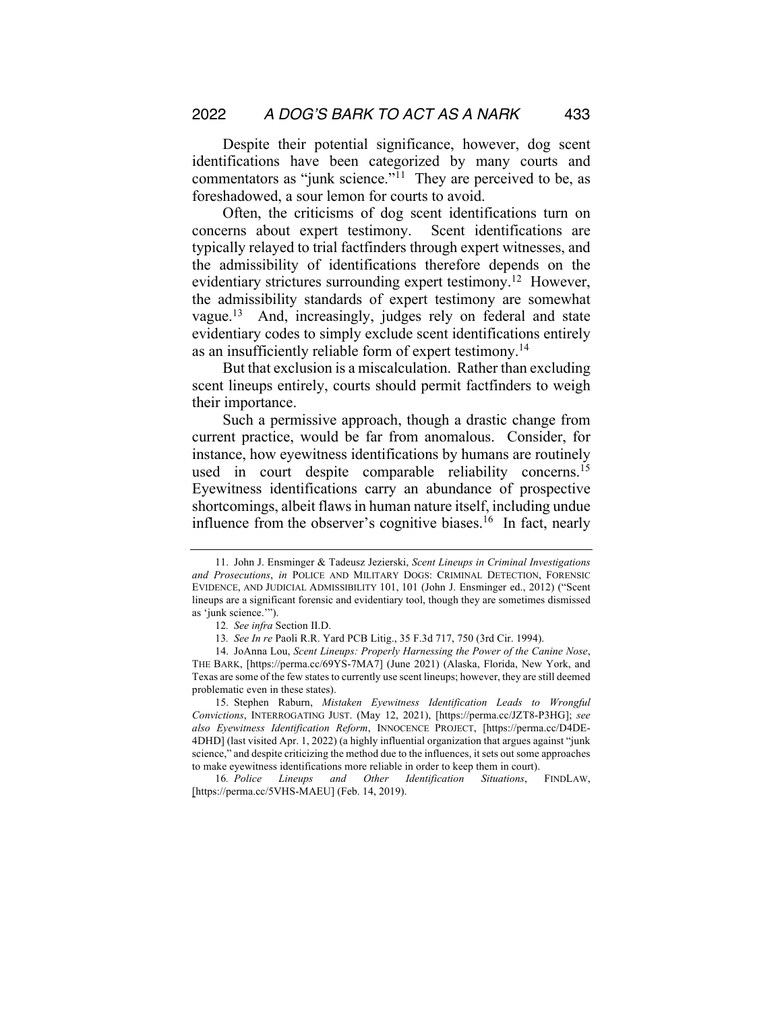Despite their potential significance, however, dog scent identifications have been categorized by many courts and commentators as "junk science."<sup>11</sup> They are perceived to be, as foreshadowed, a sour lemon for courts to avoid.

Often, the criticisms of dog scent identifications turn on concerns about expert testimony. Scent identifications are typically relayed to trial factfinders through expert witnesses, and the admissibility of identifications therefore depends on the evidentiary strictures surrounding expert testimony.<sup>12</sup> However, the admissibility standards of expert testimony are somewhat vague.<sup>13</sup> And, increasingly, judges rely on federal and state evidentiary codes to simply exclude scent identifications entirely as an insufficiently reliable form of expert testimony.14

But that exclusion is a miscalculation. Rather than excluding scent lineups entirely, courts should permit factfinders to weigh their importance.

Such a permissive approach, though a drastic change from current practice, would be far from anomalous. Consider, for instance, how eyewitness identifications by humans are routinely used in court despite comparable reliability concerns.<sup>15</sup> Eyewitness identifications carry an abundance of prospective shortcomings, albeit flaws in human nature itself, including undue influence from the observer's cognitive biases.<sup>16</sup> In fact, nearly

<sup>11.</sup> John J. Ensminger & Tadeusz Jezierski, *Scent Lineups in Criminal Investigations and Prosecutions*, *in* POLICE AND MILITARY DOGS: CRIMINAL DETECTION, FORENSIC EVIDENCE, AND JUDICIAL ADMISSIBILITY 101, 101 (John J. Ensminger ed., 2012) ("Scent lineups are a significant forensic and evidentiary tool, though they are sometimes dismissed as 'junk science.'")

<sup>12</sup>*. See infra* Section II.D.

<sup>13</sup>*. See In re* Paoli R.R. Yard PCB Litig., 35 F.3d 717, 750 (3rd Cir. 1994).

<sup>14.</sup> JoAnna Lou, *Scent Lineups: Properly Harnessing the Power of the Canine Nose*, THE BARK, [https://perma.cc/69YS-7MA7] (June 2021) (Alaska, Florida, New York, and Texas are some of the few states to currently use scent lineups; however, they are still deemed problematic even in these states).

<sup>15.</sup> Stephen Raburn, *Mistaken Eyewitness Identification Leads to Wrongful Convictions*, INTERROGATING JUST. (May 12, 2021), [https://perma.cc/JZT8-P3HG]; *see also Eyewitness Identification Reform*, INNOCENCE PROJECT, [https://perma.cc/D4DE-4DHD] (last visited Apr. 1, 2022) (a highly influential organization that argues against "junk science," and despite criticizing the method due to the influences, it sets out some approaches to make eyewitness identifications more reliable in order to keep them in court).

<sup>16</sup>*. Police Lineups and Other Identification Situations*, FINDLAW, [https://perma.cc/5VHS-MAEU] (Feb. 14, 2019).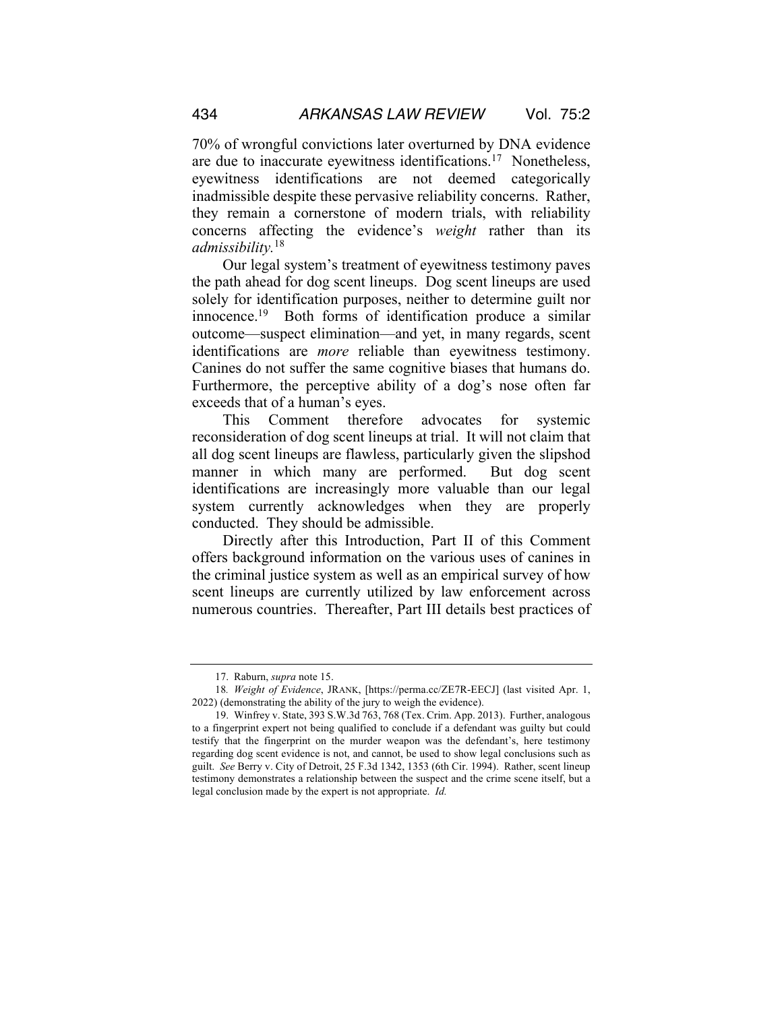70% of wrongful convictions later overturned by DNA evidence are due to inaccurate eyewitness identifications.<sup>17</sup> Nonetheless, eyewitness identifications are not deemed categorically inadmissible despite these pervasive reliability concerns. Rather, they remain a cornerstone of modern trials, with reliability concerns affecting the evidence's *weight* rather than its *admissibility.*18

Our legal system's treatment of eyewitness testimony paves the path ahead for dog scent lineups. Dog scent lineups are used solely for identification purposes, neither to determine guilt nor innocence.19 Both forms of identification produce a similar outcome—suspect elimination—and yet, in many regards, scent identifications are *more* reliable than eyewitness testimony. Canines do not suffer the same cognitive biases that humans do. Furthermore, the perceptive ability of a dog's nose often far exceeds that of a human's eyes.

This Comment therefore advocates for systemic reconsideration of dog scent lineups at trial. It will not claim that all dog scent lineups are flawless, particularly given the slipshod manner in which many are performed. But dog scent identifications are increasingly more valuable than our legal system currently acknowledges when they are properly conducted. They should be admissible.

Directly after this Introduction, Part II of this Comment offers background information on the various uses of canines in the criminal justice system as well as an empirical survey of how scent lineups are currently utilized by law enforcement across numerous countries. Thereafter, Part III details best practices of

<sup>17.</sup> Raburn, *supra* note 15.

<sup>18</sup>*. Weight of Evidence*, JRANK, [https://perma.cc/ZE7R-EECJ] (last visited Apr. 1, 2022) (demonstrating the ability of the jury to weigh the evidence).

<sup>19.</sup> Winfrey v. State, 393 S.W.3d 763, 768 (Tex. Crim. App. 2013). Further, analogous to a fingerprint expert not being qualified to conclude if a defendant was guilty but could testify that the fingerprint on the murder weapon was the defendant's, here testimony regarding dog scent evidence is not, and cannot, be used to show legal conclusions such as guilt. *See* Berry v. City of Detroit, 25 F.3d 1342, 1353 (6th Cir. 1994). Rather, scent lineup testimony demonstrates a relationship between the suspect and the crime scene itself, but a legal conclusion made by the expert is not appropriate. *Id.*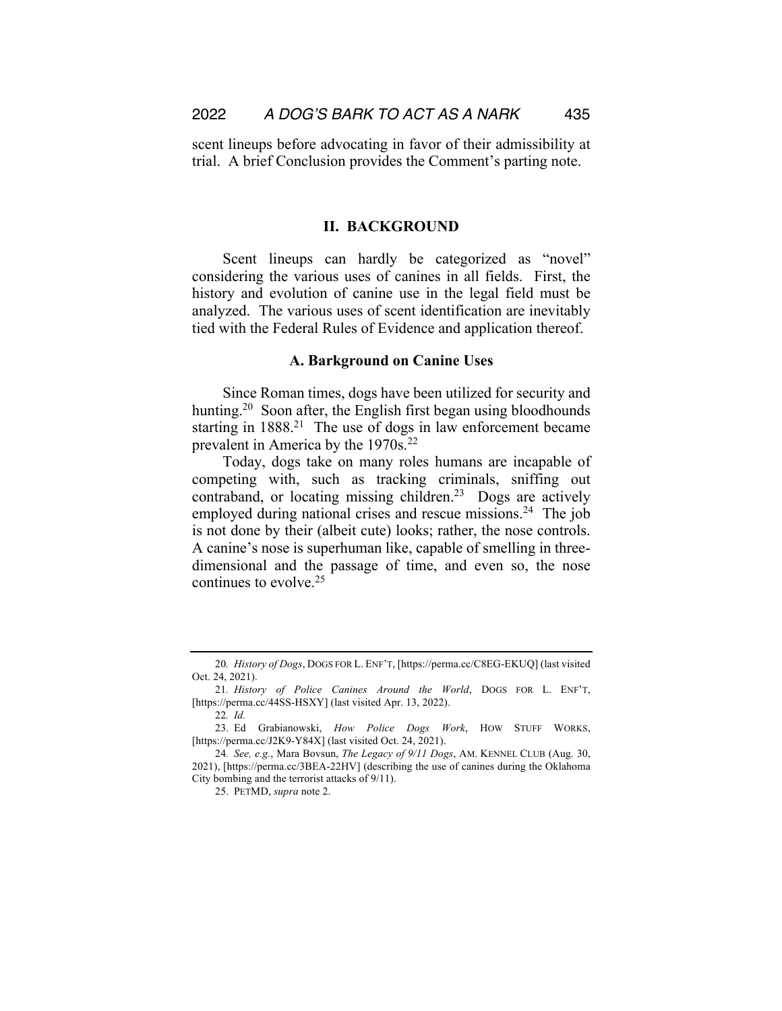scent lineups before advocating in favor of their admissibility at trial. A brief Conclusion provides the Comment's parting note.

### **II. BACKGROUND**

Scent lineups can hardly be categorized as "novel" considering the various uses of canines in all fields. First, the history and evolution of canine use in the legal field must be analyzed. The various uses of scent identification are inevitably tied with the Federal Rules of Evidence and application thereof.

#### **A. Barkground on Canine Uses**

Since Roman times, dogs have been utilized for security and hunting.<sup>20</sup> Soon after, the English first began using bloodhounds starting in 1888.<sup>21</sup> The use of dogs in law enforcement became prevalent in America by the 1970s.<sup>22</sup>

Today, dogs take on many roles humans are incapable of competing with, such as tracking criminals, sniffing out contraband, or locating missing children.<sup>23</sup> Dogs are actively employed during national crises and rescue missions.<sup>24</sup> The job is not done by their (albeit cute) looks; rather, the nose controls. A canine's nose is superhuman like, capable of smelling in threedimensional and the passage of time, and even so, the nose continues to evolve.25

<sup>20</sup>*. History of Dogs*, DOGS FOR L. ENF'T, [https://perma.cc/C8EG-EKUQ] (last visited Oct. 24, 2021).

<sup>21</sup>*. History of Police Canines Around the World*, DOGS FOR L. ENF'T, [https://perma.cc/44SS-HSXY] (last visited Apr. 13, 2022).

<sup>22</sup>*. Id.*

<sup>23.</sup> Ed Grabianowski, *How Police Dogs Work*, HOW STUFF WORKS, [https://perma.cc/J2K9-Y84X] (last visited Oct. 24, 2021).

<sup>24</sup>*. See, e.g.*, Mara Bovsun, *The Legacy of 9/11 Dogs*, AM. KENNEL CLUB (Aug. 30, 2021), [https://perma.cc/3BEA-22HV] (describing the use of canines during the Oklahoma City bombing and the terrorist attacks of 9/11).

<sup>25.</sup> PETMD, *supra* note 2.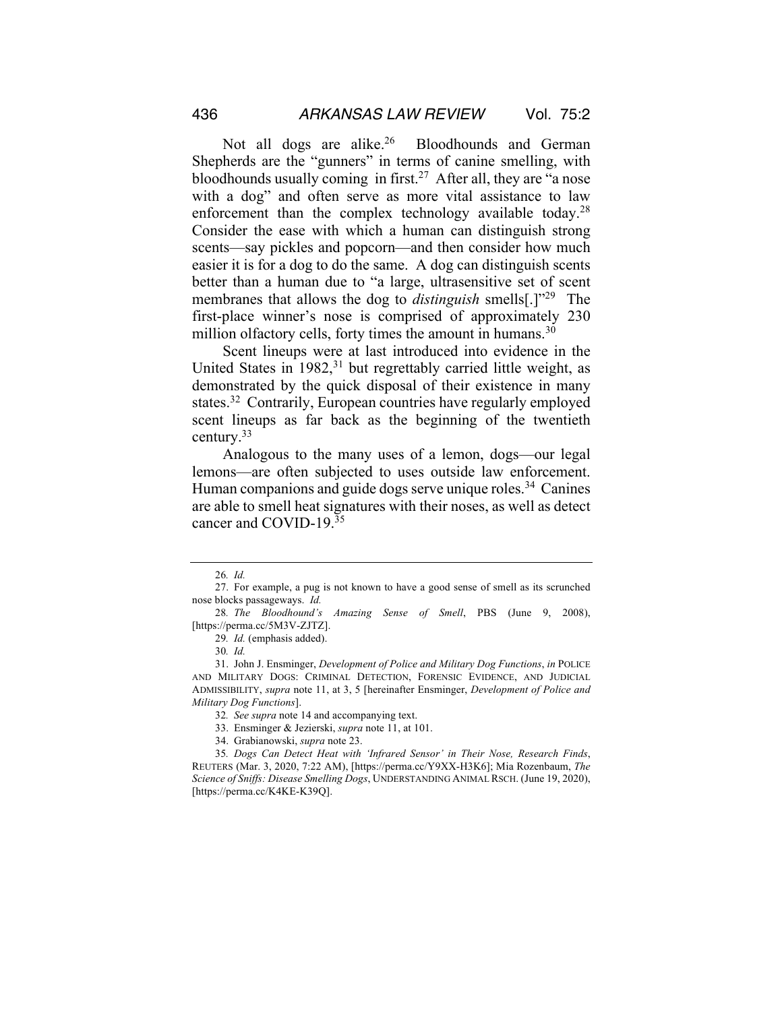Not all dogs are alike.<sup>26</sup> Bloodhounds and German Shepherds are the "gunners" in terms of canine smelling, with bloodhounds usually coming in first.<sup>27</sup> After all, they are "a nose" with a dog" and often serve as more vital assistance to law enforcement than the complex technology available today.<sup>28</sup> Consider the ease with which a human can distinguish strong scents—say pickles and popcorn—and then consider how much easier it is for a dog to do the same. A dog can distinguish scents better than a human due to "a large, ultrasensitive set of scent membranes that allows the dog to *distinguish* smells[.]"29 The first-place winner's nose is comprised of approximately 230 million olfactory cells, forty times the amount in humans. $30$ 

Scent lineups were at last introduced into evidence in the United States in  $1982$ ,<sup>31</sup> but regrettably carried little weight, as demonstrated by the quick disposal of their existence in many states.<sup>32</sup> Contrarily, European countries have regularly employed scent lineups as far back as the beginning of the twentieth century.33

Analogous to the many uses of a lemon, dogs—our legal lemons—are often subjected to uses outside law enforcement. Human companions and guide dogs serve unique roles.<sup>34</sup> Canines are able to smell heat signatures with their noses, as well as detect cancer and COVID-19.35

<sup>26</sup>*. Id.*

<sup>27.</sup> For example, a pug is not known to have a good sense of smell as its scrunched nose blocks passageways. *Id.*

<sup>28</sup>*. The Bloodhound's Amazing Sense of Smell*, PBS (June 9, 2008), [https://perma.cc/5M3V-ZJTZ].

<sup>29</sup>*. Id.* (emphasis added).

<sup>30</sup>*. Id.*

<sup>31.</sup> John J. Ensminger, *Development of Police and Military Dog Functions*, *in* POLICE AND MILITARY DOGS: CRIMINAL DETECTION, FORENSIC EVIDENCE, AND JUDICIAL ADMISSIBILITY, *supra* note 11, at 3, 5 [hereinafter Ensminger, *Development of Police and Military Dog Functions*].

<sup>32</sup>*. See supra* note 14 and accompanying text.

<sup>33.</sup> Ensminger & Jezierski, *supra* note 11, at 101.

<sup>34.</sup> Grabianowski, *supra* note 23.

<sup>35</sup>*. Dogs Can Detect Heat with 'Infrared Sensor' in Their Nose, Research Finds*, REUTERS (Mar. 3, 2020, 7:22 AM), [https://perma.cc/Y9XX-H3K6]; Mia Rozenbaum, *The Science of Sniffs: Disease Smelling Dogs*, UNDERSTANDING ANIMAL RSCH. (June 19, 2020), [https://perma.cc/K4KE-K39Q].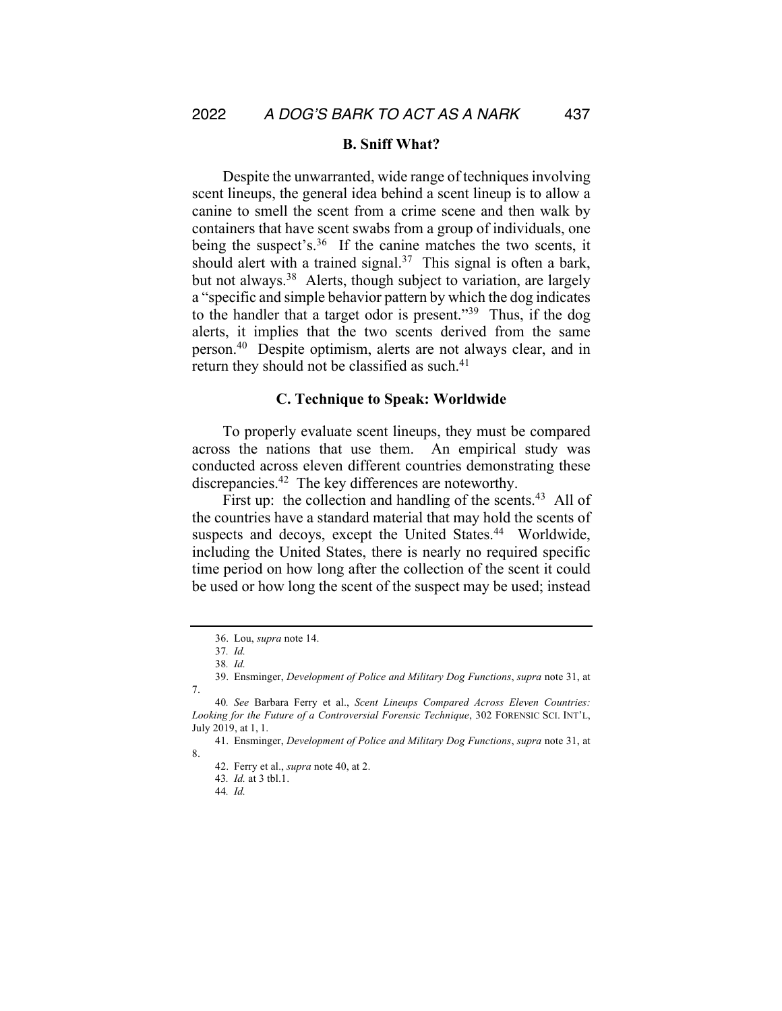#### **B. Sniff What?**

Despite the unwarranted, wide range of techniques involving scent lineups, the general idea behind a scent lineup is to allow a canine to smell the scent from a crime scene and then walk by containers that have scent swabs from a group of individuals, one being the suspect's.<sup>36</sup> If the canine matches the two scents, it should alert with a trained signal.<sup>37</sup> This signal is often a bark, but not always.<sup>38</sup> Alerts, though subject to variation, are largely a "specific and simple behavior pattern by which the dog indicates to the handler that a target odor is present."39 Thus, if the dog alerts, it implies that the two scents derived from the same person.40 Despite optimism, alerts are not always clear, and in return they should not be classified as such.<sup>41</sup>

### **C. Technique to Speak: Worldwide**

To properly evaluate scent lineups, they must be compared across the nations that use them. An empirical study was conducted across eleven different countries demonstrating these discrepancies.42 The key differences are noteworthy.

First up: the collection and handling of the scents.<sup>43</sup> All of the countries have a standard material that may hold the scents of suspects and decoys, except the United States.<sup>44</sup> Worldwide, including the United States, there is nearly no required specific time period on how long after the collection of the scent it could be used or how long the scent of the suspect may be used; instead

<sup>36.</sup> Lou, *supra* note 14.

<sup>37</sup>*. Id.* 

<sup>38</sup>*. Id.* 

<sup>39.</sup> Ensminger, *Development of Police and Military Dog Functions*, *supra* note 31, at 7.

<sup>40</sup>*. See* Barbara Ferry et al., *Scent Lineups Compared Across Eleven Countries: Looking for the Future of a Controversial Forensic Technique*, 302 FORENSIC SCI. INT'L, July 2019, at 1, 1.

<sup>41.</sup> Ensminger, *Development of Police and Military Dog Functions*, *supra* note 31, at 8.

<sup>42.</sup> Ferry et al., *supra* note 40, at 2.

<sup>43</sup>*. Id.* at 3 tbl.1.

<sup>44</sup>*. Id.*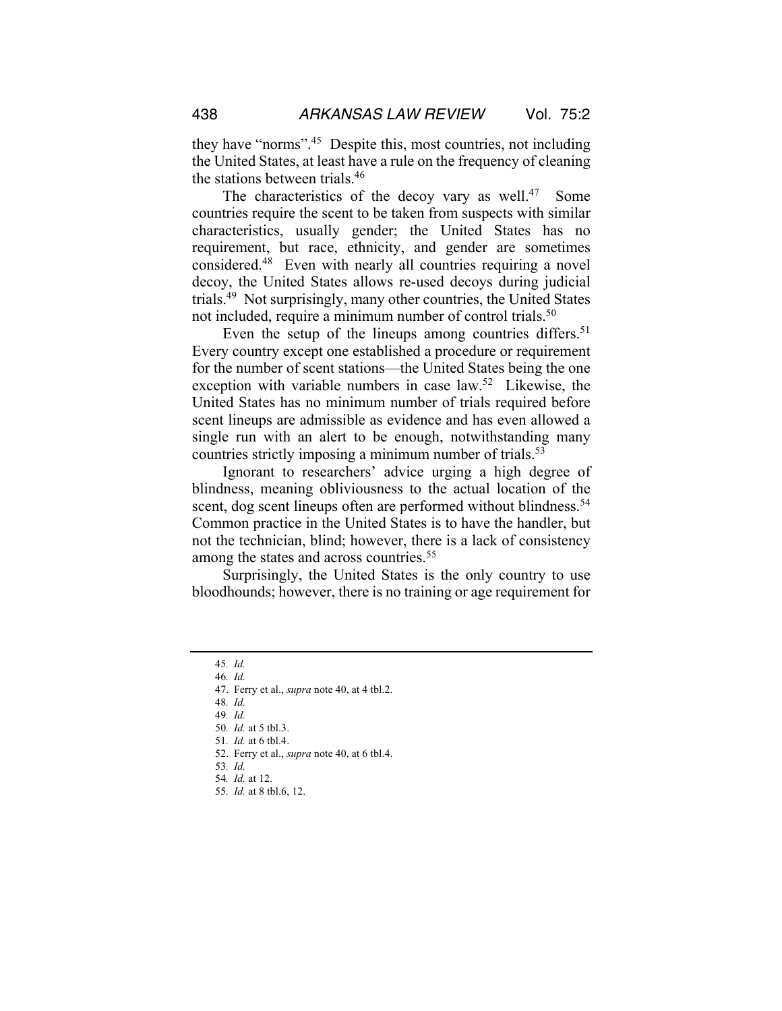they have "norms".45 Despite this, most countries, not including the United States, at least have a rule on the frequency of cleaning the stations between trials.46

The characteristics of the decoy vary as well.<sup>47</sup> Some countries require the scent to be taken from suspects with similar characteristics, usually gender; the United States has no requirement, but race, ethnicity, and gender are sometimes considered.48 Even with nearly all countries requiring a novel decoy, the United States allows re-used decoys during judicial trials.49 Not surprisingly, many other countries, the United States not included, require a minimum number of control trials.<sup>50</sup>

Even the setup of the lineups among countries differs.<sup>51</sup> Every country except one established a procedure or requirement for the number of scent stations—the United States being the one exception with variable numbers in case law.<sup>52</sup> Likewise, the United States has no minimum number of trials required before scent lineups are admissible as evidence and has even allowed a single run with an alert to be enough, notwithstanding many countries strictly imposing a minimum number of trials.<sup>53</sup>

Ignorant to researchers' advice urging a high degree of blindness, meaning obliviousness to the actual location of the scent, dog scent lineups often are performed without blindness.<sup>54</sup> Common practice in the United States is to have the handler, but not the technician, blind; however, there is a lack of consistency among the states and across countries.<sup>55</sup>

Surprisingly, the United States is the only country to use bloodhounds; however, there is no training or age requirement for

- 48*. Id.*
- 49*. Id.*
- 50*. Id.* at 5 tbl.3. 51*. Id.* at 6 tbl.4.

- 53*. Id.*
- 54*. Id.* at 12.
- 55*. Id.* at 8 tbl.6, 12.

<sup>45</sup>*. Id.* 

<sup>46</sup>*. Id.*

<sup>47.</sup> Ferry et al., *supra* note 40, at 4 tbl.2.

<sup>52.</sup> Ferry et al., *supra* note 40, at 6 tbl.4.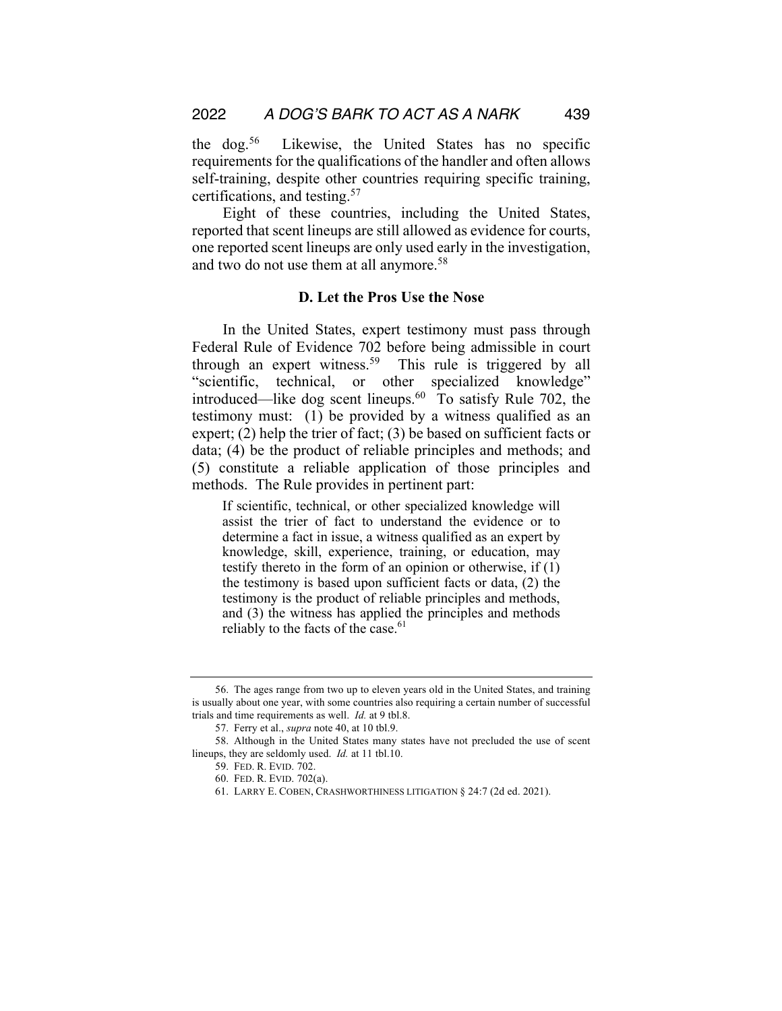the dog.56 Likewise, the United States has no specific requirements for the qualifications of the handler and often allows self-training, despite other countries requiring specific training, certifications, and testing.57

Eight of these countries, including the United States, reported that scent lineups are still allowed as evidence for courts, one reported scent lineups are only used early in the investigation, and two do not use them at all anymore.<sup>58</sup>

### **D. Let the Pros Use the Nose**

In the United States, expert testimony must pass through Federal Rule of Evidence 702 before being admissible in court through an expert witness.<sup>59</sup> This rule is triggered by all "scientific, technical, or other specialized knowledge" introduced—like dog scent lineups.60 To satisfy Rule 702, the testimony must: (1) be provided by a witness qualified as an expert; (2) help the trier of fact; (3) be based on sufficient facts or data; (4) be the product of reliable principles and methods; and (5) constitute a reliable application of those principles and methods. The Rule provides in pertinent part:

If scientific, technical, or other specialized knowledge will assist the trier of fact to understand the evidence or to determine a fact in issue, a witness qualified as an expert by knowledge, skill, experience, training, or education, may testify thereto in the form of an opinion or otherwise, if (1) the testimony is based upon sufficient facts or data, (2) the testimony is the product of reliable principles and methods, and (3) the witness has applied the principles and methods reliably to the facts of the case. $61$ 

<sup>56.</sup> The ages range from two up to eleven years old in the United States, and training is usually about one year, with some countries also requiring a certain number of successful trials and time requirements as well. *Id.* at 9 tbl.8.

<sup>57.</sup> Ferry et al., *supra* note 40, at 10 tbl.9.

<sup>58.</sup> Although in the United States many states have not precluded the use of scent lineups, they are seldomly used. *Id.* at 11 tbl.10.

<sup>59.</sup> FED. R. EVID. 702.

<sup>60.</sup> FED. R. EVID. 702(a).

<sup>61.</sup> LARRY E. COBEN, CRASHWORTHINESS LITIGATION § 24:7 (2d ed. 2021).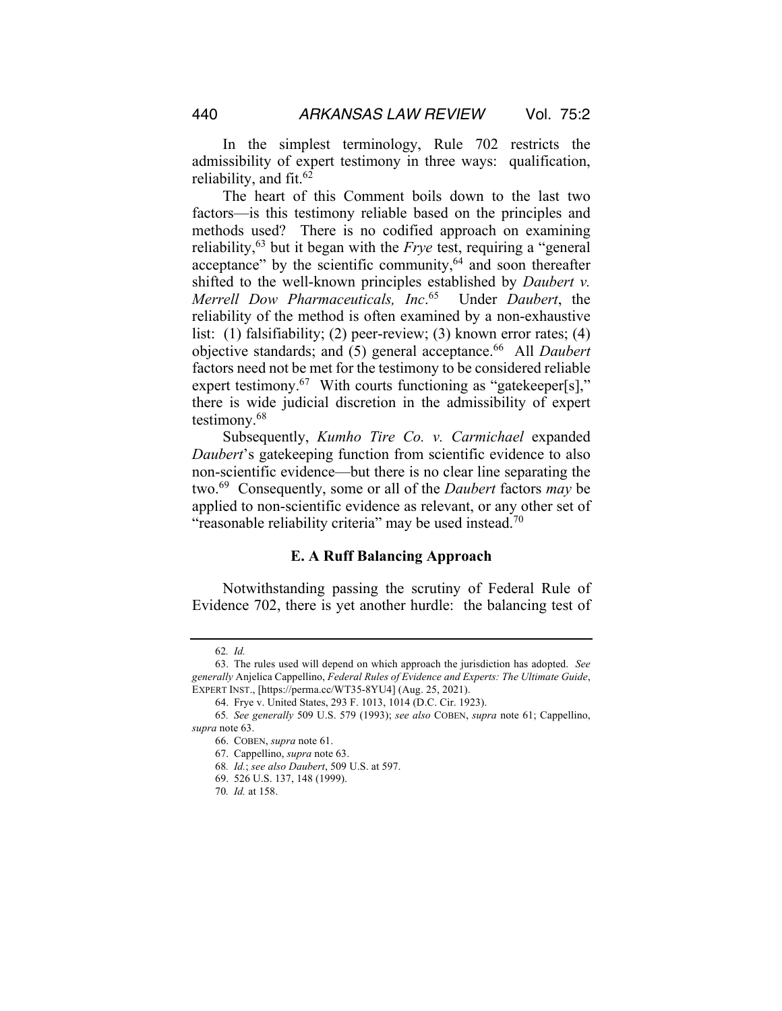In the simplest terminology, Rule 702 restricts the admissibility of expert testimony in three ways: qualification, reliability, and fit.  $62$ 

The heart of this Comment boils down to the last two factors—is this testimony reliable based on the principles and methods used? There is no codified approach on examining reliability,63 but it began with the *Frye* test, requiring a "general acceptance" by the scientific community, $64$  and soon thereafter shifted to the well-known principles established by *Daubert v. Merrell Dow Pharmaceuticals, Inc*. 65 Under *Daubert*, the reliability of the method is often examined by a non-exhaustive list: (1) falsifiability; (2) peer-review; (3) known error rates; (4) objective standards; and (5) general acceptance.<sup>66</sup> All *Daubert* factors need not be met for the testimony to be considered reliable expert testimony.<sup>67</sup> With courts functioning as "gatekeeper[s]," there is wide judicial discretion in the admissibility of expert testimony.68

Subsequently, *Kumho Tire Co. v. Carmichael* expanded *Daubert*'s gatekeeping function from scientific evidence to also non-scientific evidence—but there is no clear line separating the two.69 Consequently, some or all of the *Daubert* factors *may* be applied to non-scientific evidence as relevant, or any other set of "reasonable reliability criteria" may be used instead.<sup>70</sup>

#### **E. A Ruff Balancing Approach**

Notwithstanding passing the scrutiny of Federal Rule of Evidence 702, there is yet another hurdle: the balancing test of

<sup>62</sup>*. Id.*

<sup>63.</sup> The rules used will depend on which approach the jurisdiction has adopted. *See generally* Anjelica Cappellino, *Federal Rules of Evidence and Experts: The Ultimate Guide*, EXPERT INST., [https://perma.cc/WT35-8YU4] (Aug. 25, 2021).

<sup>64.</sup> Frye v. United States, 293 F. 1013, 1014 (D.C. Cir. 1923).

<sup>65</sup>*. See generally* 509 U.S. 579 (1993); *see also* COBEN, *supra* note 61; Cappellino, *supra* note 63.

<sup>66.</sup> COBEN, *supra* note 61.

<sup>67.</sup> Cappellino, *supra* note 63.

<sup>68</sup>*. Id.*; *see also Daubert*, 509 U.S. at 597.

<sup>69.</sup> 526 U.S. 137, 148 (1999).

<sup>70</sup>*. Id.* at 158.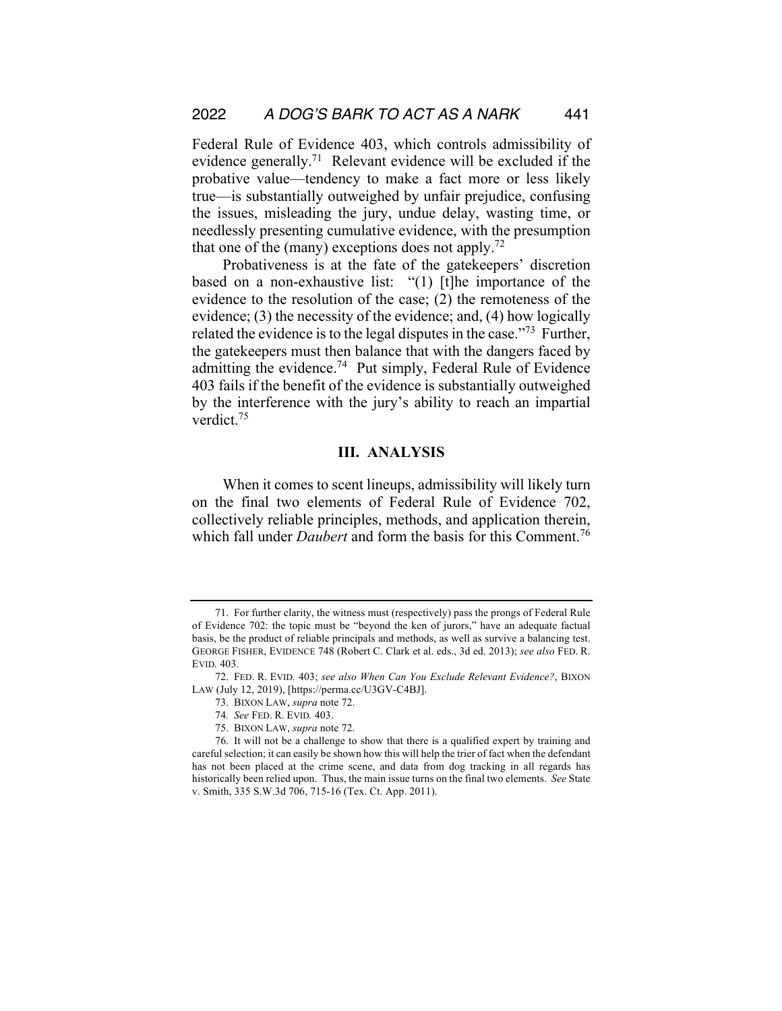Federal Rule of Evidence 403, which controls admissibility of evidence generally.71 Relevant evidence will be excluded if the probative value—tendency to make a fact more or less likely true—is substantially outweighed by unfair prejudice, confusing the issues, misleading the jury, undue delay, wasting time, or needlessly presenting cumulative evidence, with the presumption that one of the (many) exceptions does not apply.<sup>72</sup>

Probativeness is at the fate of the gatekeepers' discretion based on a non-exhaustive list: "(1) [t]he importance of the evidence to the resolution of the case; (2) the remoteness of the evidence; (3) the necessity of the evidence; and, (4) how logically related the evidence is to the legal disputes in the case."73 Further, the gatekeepers must then balance that with the dangers faced by admitting the evidence.74 Put simply, Federal Rule of Evidence 403 fails if the benefit of the evidence is substantially outweighed by the interference with the jury's ability to reach an impartial verdict.75

## **III. ANALYSIS**

When it comes to scent lineups, admissibility will likely turn on the final two elements of Federal Rule of Evidence 702, collectively reliable principles, methods, and application therein, which fall under *Daubert* and form the basis for this Comment.<sup>76</sup>

<sup>71.</sup> For further clarity, the witness must (respectively) pass the prongs of Federal Rule of Evidence 702: the topic must be "beyond the ken of jurors," have an adequate factual basis, be the product of reliable principals and methods, as well as survive a balancing test. GEORGE FISHER, EVIDENCE 748 (Robert C. Clark et al. eds., 3d ed. 2013); *see also* FED. R. EVID*.* 403.

<sup>72.</sup> FED. R. EVID*.* 403; *see also When Can You Exclude Relevant Evidence?*, BIXON LAW (July 12, 2019), [https://perma.cc/U3GV-C4BJ].

<sup>73.</sup> BIXON LAW, *supra* note 72.

<sup>74</sup>*. See* FED. R. EVID*.* 403.

<sup>75.</sup> BIXON LAW, *supra* note 72.

<sup>76.</sup> It will not be a challenge to show that there is a qualified expert by training and careful selection; it can easily be shown how this will help the trier of fact when the defendant has not been placed at the crime scene, and data from dog tracking in all regards has historically been relied upon. Thus, the main issue turns on the final two elements. *See* State v. Smith, 335 S.W.3d 706, 715-16 (Tex. Ct. App. 2011).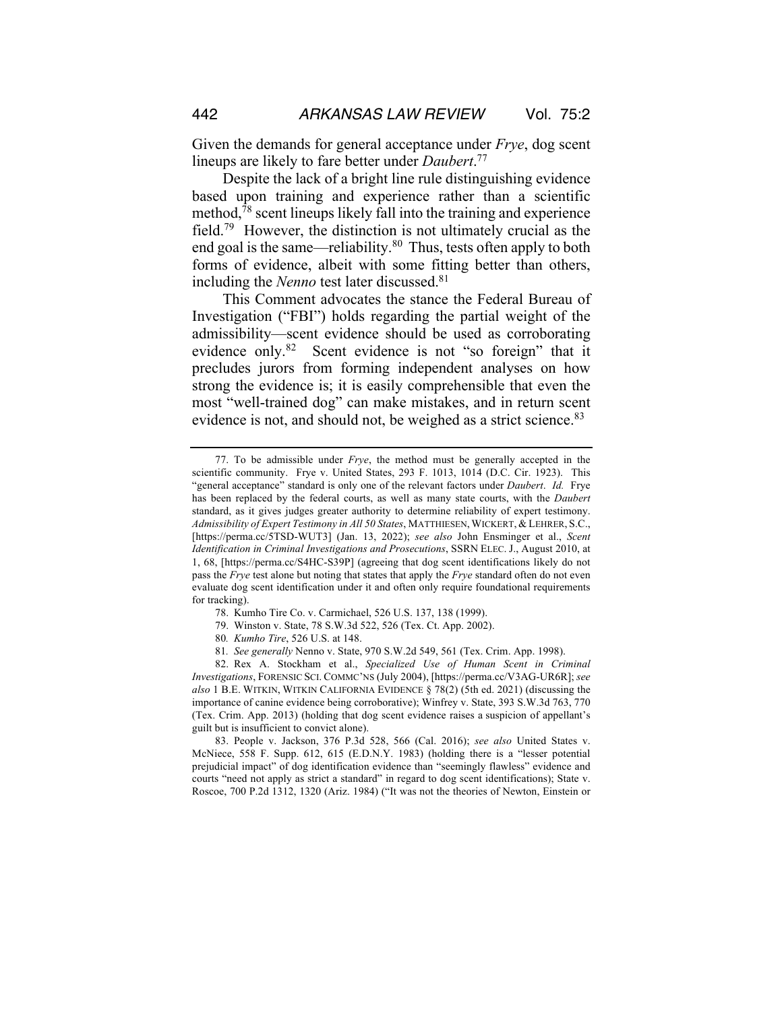Given the demands for general acceptance under *Frye*, dog scent lineups are likely to fare better under *Daubert*. 77

Despite the lack of a bright line rule distinguishing evidence based upon training and experience rather than a scientific method,78 scent lineups likely fall into the training and experience field.79 However, the distinction is not ultimately crucial as the end goal is the same—reliability.<sup>80</sup> Thus, tests often apply to both forms of evidence, albeit with some fitting better than others, including the *Nenno* test later discussed.81

This Comment advocates the stance the Federal Bureau of Investigation ("FBI") holds regarding the partial weight of the admissibility—scent evidence should be used as corroborating evidence only.<sup>82</sup> Scent evidence is not "so foreign" that it precludes jurors from forming independent analyses on how strong the evidence is; it is easily comprehensible that even the most "well-trained dog" can make mistakes, and in return scent evidence is not, and should not, be weighed as a strict science.<sup>83</sup>

79. Winston v. State, 78 S.W.3d 522, 526 (Tex. Ct. App. 2002).

83. People v. Jackson, 376 P.3d 528, 566 (Cal. 2016); *see also* United States v. McNiece, 558 F. Supp. 612, 615 (E.D.N.Y. 1983) (holding there is a "lesser potential prejudicial impact" of dog identification evidence than "seemingly flawless" evidence and courts "need not apply as strict a standard" in regard to dog scent identifications); State v. Roscoe, 700 P.2d 1312, 1320 (Ariz. 1984) ("It was not the theories of Newton, Einstein or

<sup>77.</sup> To be admissible under *Frye*, the method must be generally accepted in the scientific community. Frye v. United States, 293 F. 1013, 1014 (D.C. Cir. 1923). This "general acceptance" standard is only one of the relevant factors under *Daubert*. *Id.* Frye has been replaced by the federal courts, as well as many state courts, with the *Daubert* standard, as it gives judges greater authority to determine reliability of expert testimony. *Admissibility of Expert Testimony in All 50 States*, MATTHIESEN, WICKERT, & LEHRER, S.C., [https://perma.cc/5TSD-WUT3] (Jan. 13, 2022); *see also* John Ensminger et al., *Scent Identification in Criminal Investigations and Prosecutions*, SSRN ELEC. J., August 2010, at 1, 68, [https://perma.cc/S4HC-S39P] (agreeing that dog scent identifications likely do not pass the *Frye* test alone but noting that states that apply the *Frye* standard often do not even evaluate dog scent identification under it and often only require foundational requirements for tracking).

<sup>78.</sup> Kumho Tire Co. v. Carmichael, 526 U.S. 137, 138 (1999).

<sup>80</sup>*. Kumho Tire*, 526 U.S. at 148.

<sup>81</sup>*. See generally* Nenno v. State, 970 S.W.2d 549, 561 (Tex. Crim. App. 1998).

<sup>82.</sup> Rex A. Stockham et al., *Specialized Use of Human Scent in Criminal Investigations*, FORENSIC SCI. COMMC'NS (July 2004), [https://perma.cc/V3AG-UR6R]; *see also* 1 B.E. WITKIN, WITKIN CALIFORNIA EVIDENCE § 78(2) (5th ed. 2021) (discussing the importance of canine evidence being corroborative); Winfrey v. State, 393 S.W.3d 763, 770 (Tex. Crim. App. 2013) (holding that dog scent evidence raises a suspicion of appellant's guilt but is insufficient to convict alone).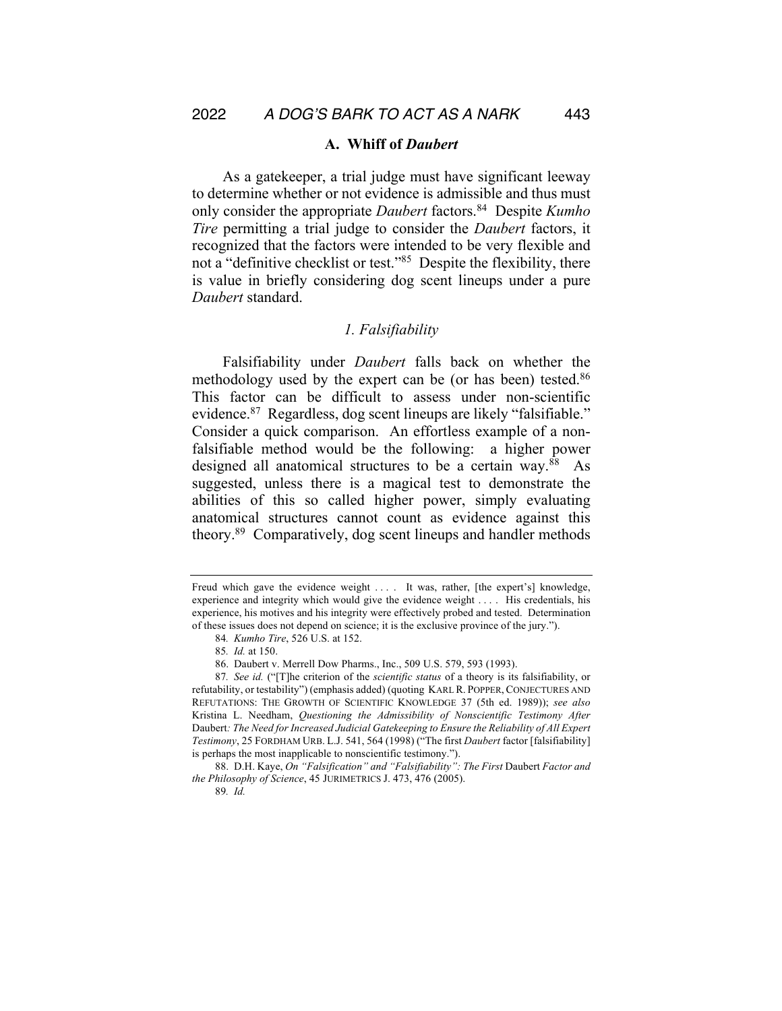#### **A. Whiff of** *Daubert*

As a gatekeeper, a trial judge must have significant leeway to determine whether or not evidence is admissible and thus must only consider the appropriate *Daubert* factors.84 Despite *Kumho Tire* permitting a trial judge to consider the *Daubert* factors, it recognized that the factors were intended to be very flexible and not a "definitive checklist or test."85 Despite the flexibility, there is value in briefly considering dog scent lineups under a pure *Daubert* standard.

#### *1. Falsifiability*

Falsifiability under *Daubert* falls back on whether the methodology used by the expert can be (or has been) tested.<sup>86</sup> This factor can be difficult to assess under non-scientific evidence.87 Regardless, dog scent lineups are likely "falsifiable." Consider a quick comparison. An effortless example of a nonfalsifiable method would be the following: a higher power designed all anatomical structures to be a certain way.<sup>88</sup> As suggested, unless there is a magical test to demonstrate the abilities of this so called higher power, simply evaluating anatomical structures cannot count as evidence against this theory.89 Comparatively, dog scent lineups and handler methods

88. D.H. Kaye, *On "Falsification" and "Falsifiability": The First Daubert Factor and the Philosophy of Science*, 45 JURIMETRICS J. 473, 476 (2005).

Freud which gave the evidence weight .... It was, rather, [the expert's] knowledge, experience and integrity which would give the evidence weight . . . . His credentials, his experience, his motives and his integrity were effectively probed and tested. Determination of these issues does not depend on science; it is the exclusive province of the jury.").

<sup>84</sup>*. Kumho Tire*, 526 U.S. at 152.

<sup>85</sup>*. Id.* at 150.

<sup>86.</sup> Daubert v. Merrell Dow Pharms., Inc., 509 U.S. 579, 593 (1993).

<sup>87</sup>*. See id.* ("[T]he criterion of the *scientific status* of a theory is its falsifiability, or refutability, or testability") (emphasis added) (quoting KARL R. POPPER, CONJECTURES AND REFUTATIONS: THE GROWTH OF SCIENTIFIC KNOWLEDGE 37 (5th ed. 1989)); *see also* Kristina L. Needham, *Questioning the Admissibility of Nonscientific Testimony After*  Daubert*: The Need for Increased Judicial Gatekeeping to Ensure the Reliability of All Expert Testimony*, 25 FORDHAM URB. L.J. 541, 564 (1998) ("The first *Daubert* factor [falsifiability] is perhaps the most inapplicable to nonscientific testimony.").

<sup>89</sup>*. Id.*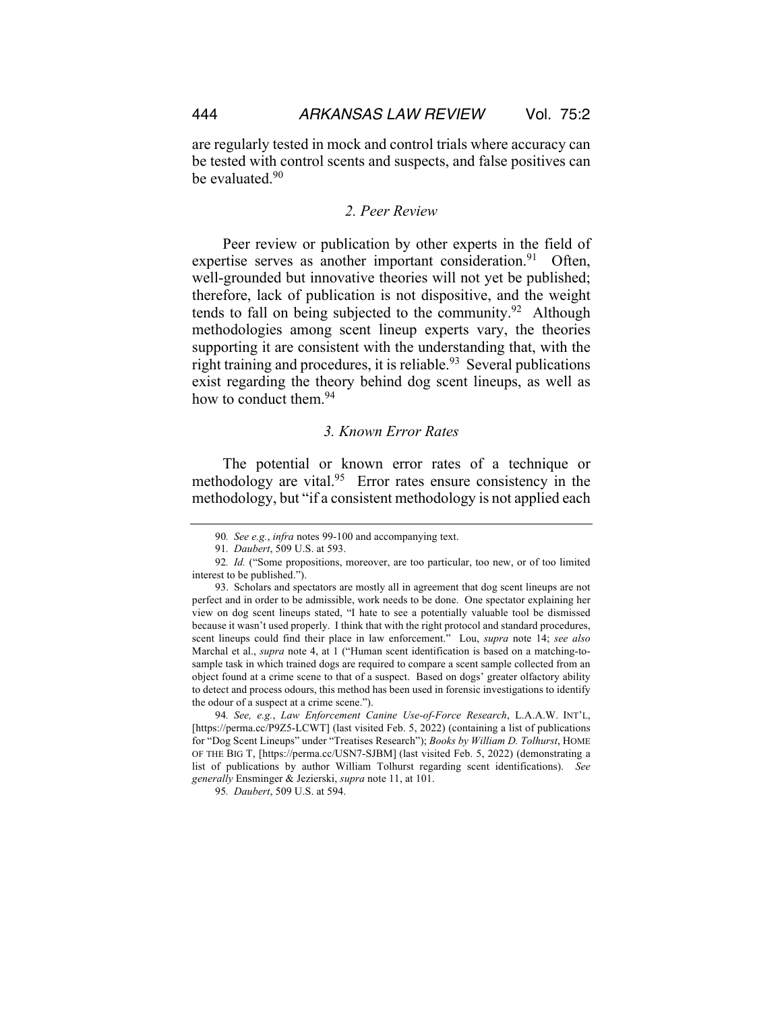are regularly tested in mock and control trials where accuracy can be tested with control scents and suspects, and false positives can be evaluated.<sup>90</sup>

### *2. Peer Review*

Peer review or publication by other experts in the field of expertise serves as another important consideration.<sup>91</sup> Often, well-grounded but innovative theories will not yet be published; therefore, lack of publication is not dispositive, and the weight tends to fall on being subjected to the community.<sup>92</sup> Although methodologies among scent lineup experts vary, the theories supporting it are consistent with the understanding that, with the right training and procedures, it is reliable. $93$  Several publications exist regarding the theory behind dog scent lineups, as well as how to conduct them.<sup>94</sup>

## *3. Known Error Rates*

The potential or known error rates of a technique or methodology are vital.<sup>95</sup> Error rates ensure consistency in the methodology, but "if a consistent methodology is not applied each

<sup>90</sup>*. See e.g.*, *infra* notes 99-100 and accompanying text.

<sup>91</sup>*. Daubert*, 509 U.S. at 593.

<sup>92</sup>*. Id.* ("Some propositions, moreover, are too particular, too new, or of too limited interest to be published.").

<sup>93.</sup> Scholars and spectators are mostly all in agreement that dog scent lineups are not perfect and in order to be admissible, work needs to be done. One spectator explaining her view on dog scent lineups stated, "I hate to see a potentially valuable tool be dismissed because it wasn't used properly. I think that with the right protocol and standard procedures, scent lineups could find their place in law enforcement." Lou, *supra* note 14; *see also* Marchal et al., *supra* note 4, at 1 ("Human scent identification is based on a matching-tosample task in which trained dogs are required to compare a scent sample collected from an object found at a crime scene to that of a suspect. Based on dogs' greater olfactory ability to detect and process odours, this method has been used in forensic investigations to identify the odour of a suspect at a crime scene.").

<sup>94</sup>*. See, e.g.*, *Law Enforcement Canine Use-of-Force Research*, L.A.A.W. INT'L, [https://perma.cc/P9Z5-LCWT] (last visited Feb. 5, 2022) (containing a list of publications for "Dog Scent Lineups" under "Treatises Research"); *Books by William D. Tolhurst*, HOME OF THE BIG T, [https://perma.cc/USN7-SJBM] (last visited Feb. 5, 2022) (demonstrating a list of publications by author William Tolhurst regarding scent identifications). *See generally* Ensminger & Jezierski, *supra* note 11, at 101.

<sup>95</sup>*. Daubert*, 509 U.S. at 594.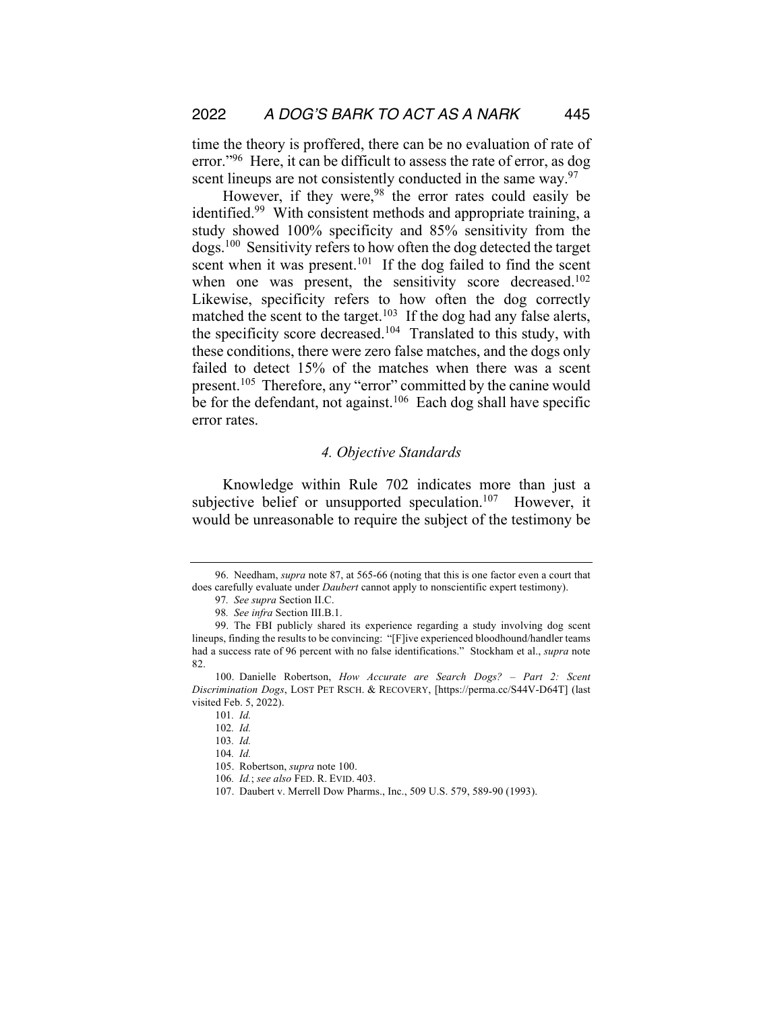time the theory is proffered, there can be no evaluation of rate of error."<sup>96</sup> Here, it can be difficult to assess the rate of error, as dog scent lineups are not consistently conducted in the same way.<sup>97</sup>

However, if they were,  $98$  the error rates could easily be identified.<sup>99</sup> With consistent methods and appropriate training, a study showed 100% specificity and 85% sensitivity from the dogs.100 Sensitivity refers to how often the dog detected the target scent when it was present.<sup>101</sup> If the dog failed to find the scent when one was present, the sensitivity score decreased.<sup>102</sup> Likewise, specificity refers to how often the dog correctly matched the scent to the target.<sup>103</sup> If the dog had any false alerts, the specificity score decreased.<sup>104</sup> Translated to this study, with these conditions, there were zero false matches, and the dogs only failed to detect 15% of the matches when there was a scent present.<sup>105</sup> Therefore, any "error" committed by the canine would be for the defendant, not against.<sup>106</sup> Each dog shall have specific error rates.

## *4. Objective Standards*

Knowledge within Rule 702 indicates more than just a subjective belief or unsupported speculation.<sup>107</sup> However, it would be unreasonable to require the subject of the testimony be

<sup>96.</sup> Needham, *supra* note 87, at 565-66 (noting that this is one factor even a court that does carefully evaluate under *Daubert* cannot apply to nonscientific expert testimony).

<sup>97</sup>*. See supra* Section II.C.

<sup>98</sup>*. See infra* Section III.B.1.

<sup>99.</sup> The FBI publicly shared its experience regarding a study involving dog scent lineups, finding the results to be convincing: "[F]ive experienced bloodhound/handler teams had a success rate of 96 percent with no false identifications." Stockham et al., *supra* note 82.

<sup>100.</sup> Danielle Robertson, *How Accurate are Search Dogs? – Part 2: Scent Discrimination Dogs*, LOST PET RSCH. & RECOVERY, [https://perma.cc/S44V-D64T] (last visited Feb. 5, 2022).

<sup>101</sup>*. Id.*

<sup>102</sup>*. Id.*

<sup>103</sup>*. Id.*

<sup>104</sup>*. Id.*

<sup>105.</sup> Robertson, *supra* note 100.

<sup>106</sup>*. Id.*; *see also* FED. R. EVID. 403.

<sup>107.</sup> Daubert v. Merrell Dow Pharms., Inc., 509 U.S. 579, 589-90 (1993).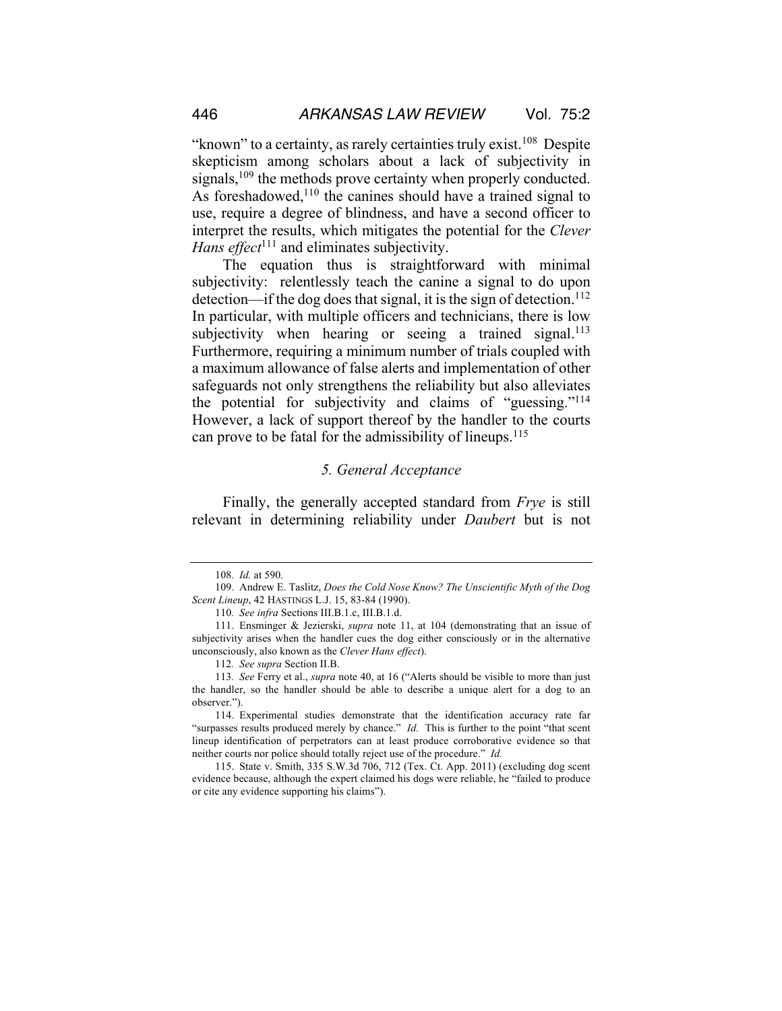"known" to a certainty, as rarely certainties truly exist.<sup>108</sup> Despite skepticism among scholars about a lack of subjectivity in signals,<sup>109</sup> the methods prove certainty when properly conducted. As foreshadowed,<sup>110</sup> the canines should have a trained signal to use, require a degree of blindness, and have a second officer to interpret the results, which mitigates the potential for the *Clever Hans effect*<sup>111</sup> and eliminates subjectivity.

The equation thus is straightforward with minimal subjectivity: relentlessly teach the canine a signal to do upon detection—if the dog does that signal, it is the sign of detection.<sup>112</sup> In particular, with multiple officers and technicians, there is low subjectivity when hearing or seeing a trained signal.<sup>113</sup> Furthermore, requiring a minimum number of trials coupled with a maximum allowance of false alerts and implementation of other safeguards not only strengthens the reliability but also alleviates the potential for subjectivity and claims of "guessing."114 However, a lack of support thereof by the handler to the courts can prove to be fatal for the admissibility of lineups.<sup>115</sup>

## *5. General Acceptance*

Finally, the generally accepted standard from *Frye* is still relevant in determining reliability under *Daubert* but is not

<sup>108</sup>*. Id.* at 590.

<sup>109.</sup> Andrew E. Taslitz, *Does the Cold Nose Know? The Unscientific Myth of the Dog Scent Lineup*, 42 HASTINGS L.J. 15, 83-84 (1990).

<sup>110</sup>*. See infra* Sections III.B.1.c, III.B.1.d.

<sup>111.</sup> Ensminger & Jezierski, *supra* note 11, at 104 (demonstrating that an issue of subjectivity arises when the handler cues the dog either consciously or in the alternative unconsciously, also known as the *Clever Hans effect*).

<sup>112</sup>*. See supra* Section II.B.

<sup>113</sup>*. See* Ferry et al., *supra* note 40, at 16 ("Alerts should be visible to more than just the handler, so the handler should be able to describe a unique alert for a dog to an observer.").

<sup>114.</sup> Experimental studies demonstrate that the identification accuracy rate far "surpasses results produced merely by chance." *Id.* This is further to the point "that scent lineup identification of perpetrators can at least produce corroborative evidence so that neither courts nor police should totally reject use of the procedure." *Id.* 

<sup>115.</sup> State v. Smith, 335 S.W.3d 706, 712 (Tex. Ct. App. 2011) (excluding dog scent evidence because, although the expert claimed his dogs were reliable, he "failed to produce or cite any evidence supporting his claims").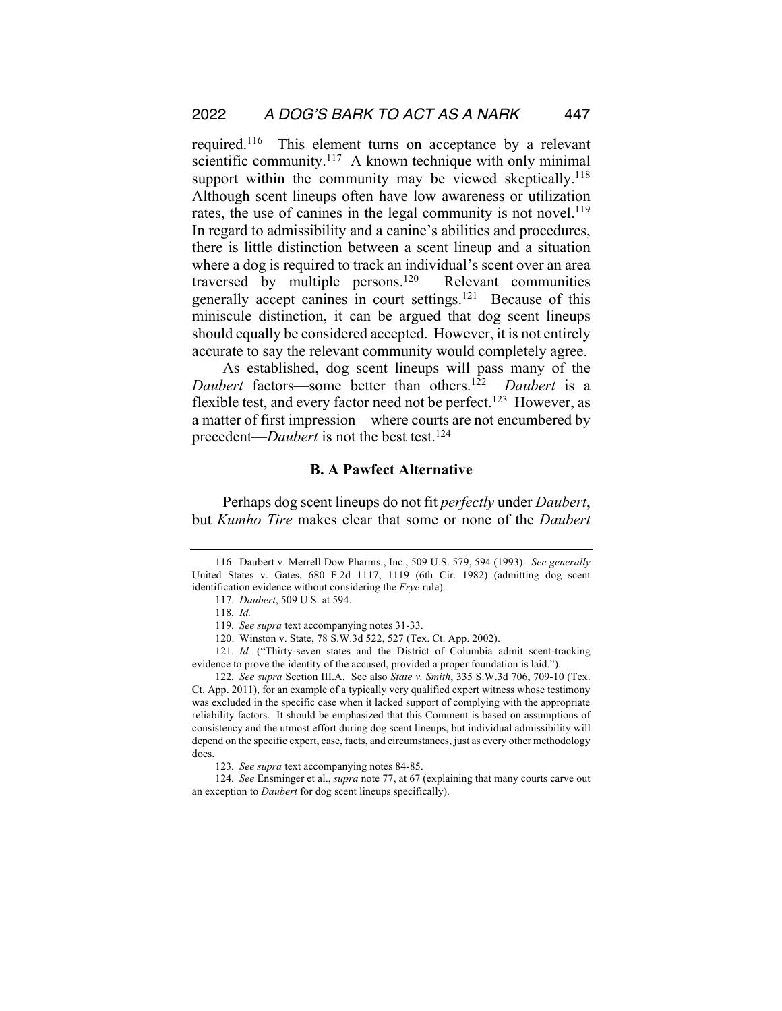required.116 This element turns on acceptance by a relevant scientific community.<sup>117</sup> A known technique with only minimal support within the community may be viewed skeptically.<sup>118</sup> Although scent lineups often have low awareness or utilization rates, the use of canines in the legal community is not novel.<sup>119</sup> In regard to admissibility and a canine's abilities and procedures, there is little distinction between a scent lineup and a situation where a dog is required to track an individual's scent over an area traversed by multiple persons.120 Relevant communities generally accept canines in court settings.121 Because of this miniscule distinction, it can be argued that dog scent lineups should equally be considered accepted. However, it is not entirely accurate to say the relevant community would completely agree.

As established, dog scent lineups will pass many of the *Daubert* factors—some better than others.<sup>122</sup> *Daubert* is a flexible test, and every factor need not be perfect.<sup>123</sup> However, as a matter of first impression—where courts are not encumbered by precedent—*Daubert* is not the best test.124

## **B. A Pawfect Alternative**

Perhaps dog scent lineups do not fit *perfectly* under *Daubert*, but *Kumho Tire* makes clear that some or none of the *Daubert*

121*. Id.* ("Thirty-seven states and the District of Columbia admit scent-tracking evidence to prove the identity of the accused, provided a proper foundation is laid.").

122*. See supra* Section III.A. See also *State v. Smith*, 335 S.W.3d 706, 709-10 (Tex. Ct. App. 2011), for an example of a typically very qualified expert witness whose testimony was excluded in the specific case when it lacked support of complying with the appropriate reliability factors. It should be emphasized that this Comment is based on assumptions of consistency and the utmost effort during dog scent lineups, but individual admissibility will depend on the specific expert, case, facts, and circumstances, just as every other methodology does.

123*. See supra* text accompanying notes 84-85.

124*. See* Ensminger et al., *supra* note 77, at 67 (explaining that many courts carve out an exception to *Daubert* for dog scent lineups specifically).

<sup>116.</sup> Daubert v. Merrell Dow Pharms., Inc., 509 U.S. 579, 594 (1993). *See generally* United States v. Gates, 680 F.2d 1117, 1119 (6th Cir. 1982) (admitting dog scent identification evidence without considering the *Frye* rule).

<sup>117</sup>*. Daubert*, 509 U.S. at 594.

<sup>118</sup>*. Id.*

<sup>119</sup>*. See supra* text accompanying notes 31-33.

<sup>120.</sup> Winston v. State, 78 S.W.3d 522, 527 (Tex. Ct. App. 2002).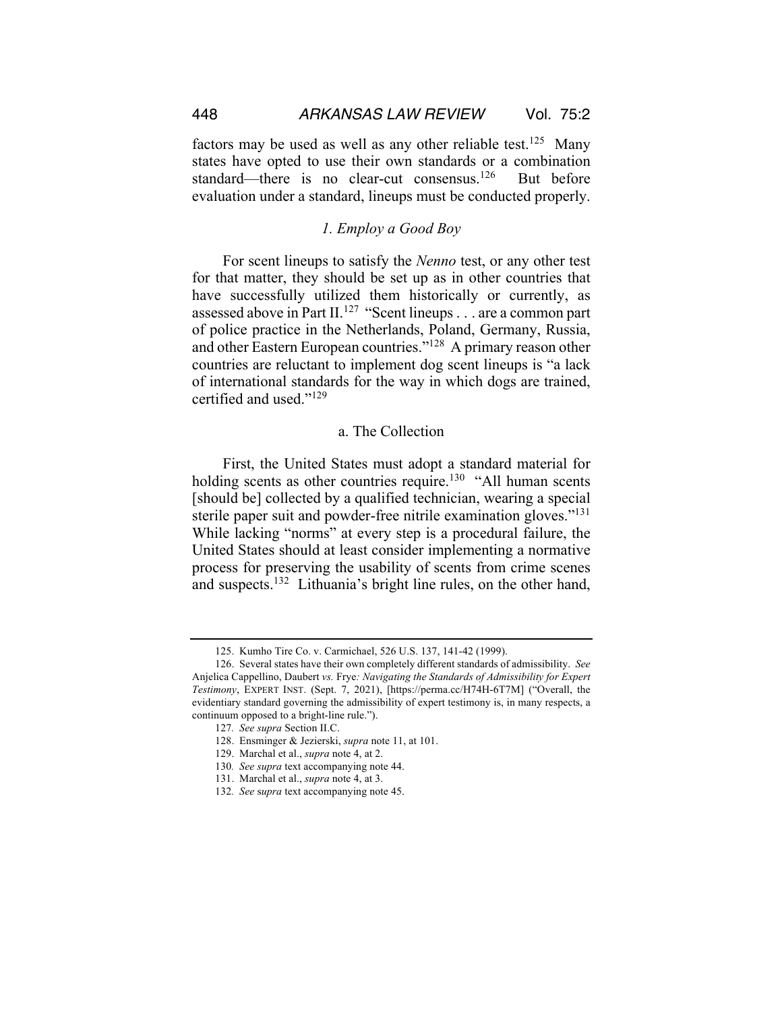factors may be used as well as any other reliable test.<sup>125</sup> Many states have opted to use their own standards or a combination standard—there is no clear-cut consensus.<sup>126</sup> But before evaluation under a standard, lineups must be conducted properly.

#### *1. Employ a Good Boy*

For scent lineups to satisfy the *Nenno* test, or any other test for that matter, they should be set up as in other countries that have successfully utilized them historically or currently, as assessed above in Part II.<sup>127</sup> "Scent lineups . . . are a common part of police practice in the Netherlands, Poland, Germany, Russia, and other Eastern European countries."128 A primary reason other countries are reluctant to implement dog scent lineups is "a lack of international standards for the way in which dogs are trained, certified and used."129

#### a. The Collection

First, the United States must adopt a standard material for holding scents as other countries require.<sup>130</sup> "All human scents [should be] collected by a qualified technician, wearing a special sterile paper suit and powder-free nitrile examination gloves."<sup>131</sup> While lacking "norms" at every step is a procedural failure, the United States should at least consider implementing a normative process for preserving the usability of scents from crime scenes and suspects.132 Lithuania's bright line rules, on the other hand,

<sup>125.</sup> Kumho Tire Co. v. Carmichael, 526 U.S. 137, 141-42 (1999).

<sup>126.</sup> Several states have their own completely different standards of admissibility. *See* Anjelica Cappellino, Daubert *vs.* Frye*: Navigating the Standards of Admissibility for Expert Testimony*, EXPERT INST. (Sept. 7, 2021), [https://perma.cc/H74H-6T7M] ("Overall, the evidentiary standard governing the admissibility of expert testimony is, in many respects, a continuum opposed to a bright-line rule.").

<sup>127</sup>*. See supra* Section II.C.

<sup>128.</sup> Ensminger & Jezierski, *supra* note 11, at 101.

<sup>129.</sup> Marchal et al., *supra* note 4, at 2.

<sup>130</sup>*. See supra* text accompanying note 44.

<sup>131.</sup> Marchal et al., *supra* note 4, at 3.

<sup>132</sup>*. See* s*upra* text accompanying note 45.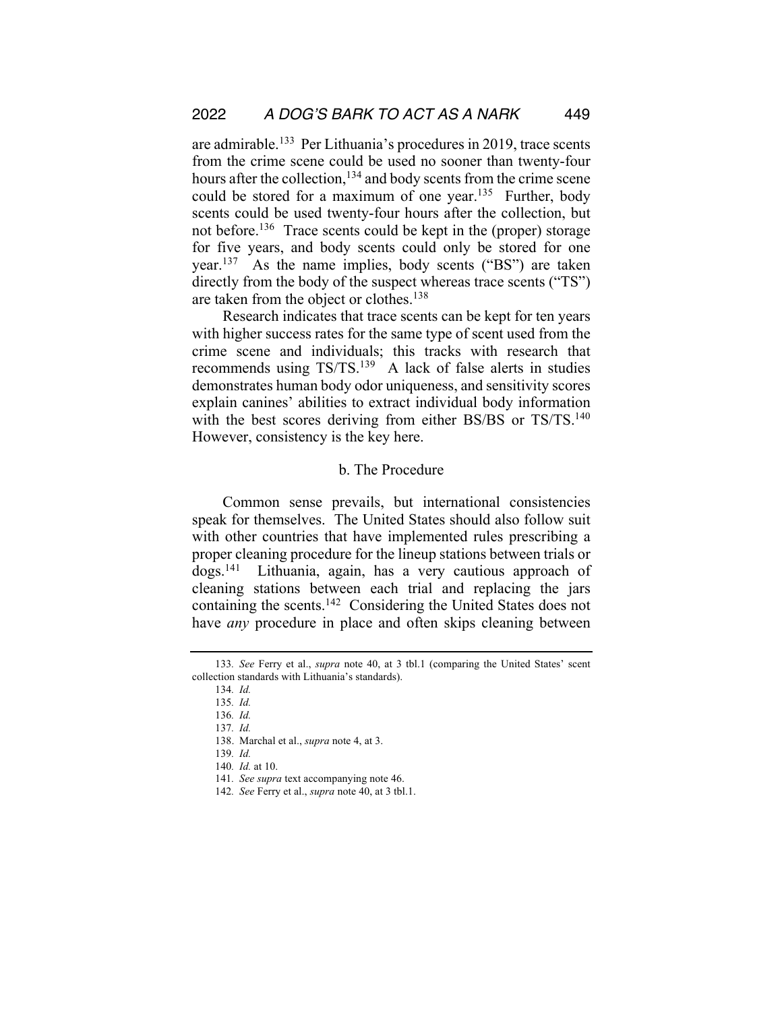are admirable.133 Per Lithuania's procedures in 2019, trace scents from the crime scene could be used no sooner than twenty-four hours after the collection,<sup>134</sup> and body scents from the crime scene could be stored for a maximum of one year.<sup>135</sup> Further, body scents could be used twenty-four hours after the collection, but not before.<sup>136</sup> Trace scents could be kept in the (proper) storage for five years, and body scents could only be stored for one year.137 As the name implies, body scents ("BS") are taken directly from the body of the suspect whereas trace scents ("TS") are taken from the object or clothes.<sup>138</sup>

Research indicates that trace scents can be kept for ten years with higher success rates for the same type of scent used from the crime scene and individuals; this tracks with research that recommends using TS/TS.139 A lack of false alerts in studies demonstrates human body odor uniqueness, and sensitivity scores explain canines' abilities to extract individual body information with the best scores deriving from either BS/BS or TS/TS.<sup>140</sup> However, consistency is the key here.

## b. The Procedure

Common sense prevails, but international consistencies speak for themselves. The United States should also follow suit with other countries that have implemented rules prescribing a proper cleaning procedure for the lineup stations between trials or dogs.141 Lithuania, again, has a very cautious approach of cleaning stations between each trial and replacing the jars containing the scents.142 Considering the United States does not have *any* procedure in place and often skips cleaning between

<sup>133</sup>*. See* Ferry et al., *supra* note 40, at 3 tbl.1 (comparing the United States' scent collection standards with Lithuania's standards).

<sup>134</sup>*. Id.* 

<sup>135</sup>*. Id.* 

<sup>136</sup>*. Id.* 

<sup>137</sup>*. Id.* 

<sup>138.</sup> Marchal et al., *supra* note 4, at 3.

<sup>139</sup>*. Id.*

<sup>140</sup>*. Id.* at 10.

<sup>141</sup>*. See supra* text accompanying note 46.

<sup>142</sup>*. See* Ferry et al., *supra* note 40, at 3 tbl.1.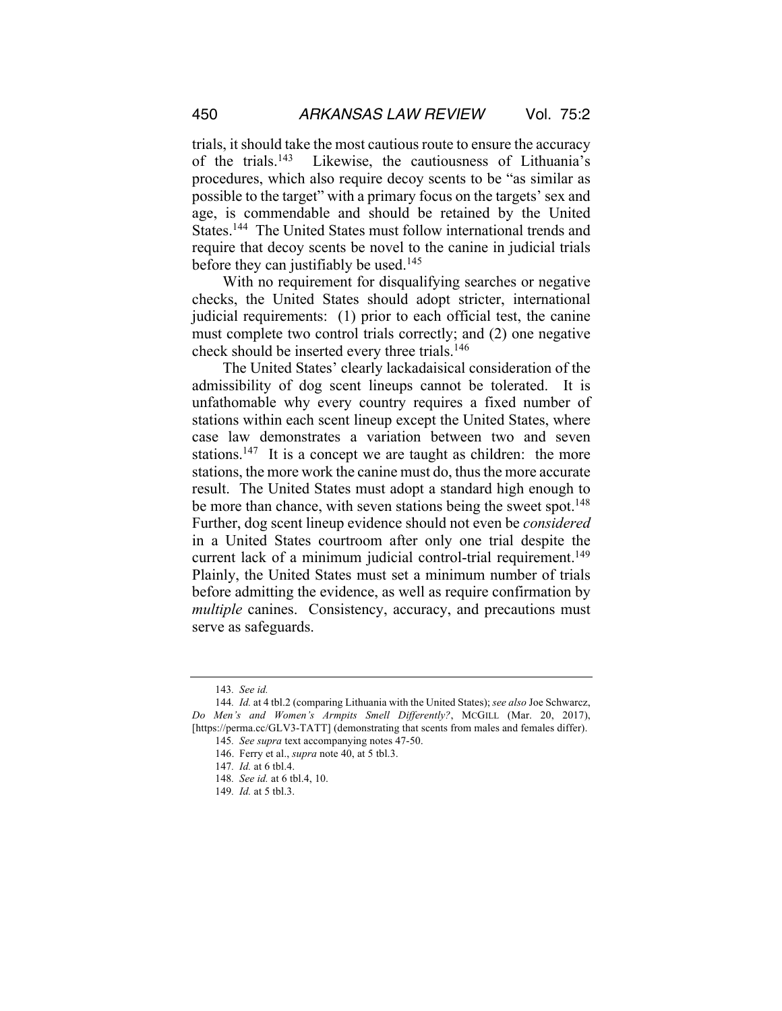trials, it should take the most cautious route to ensure the accuracy of the trials.143 Likewise, the cautiousness of Lithuania's procedures, which also require decoy scents to be "as similar as possible to the target" with a primary focus on the targets' sex and age, is commendable and should be retained by the United States.144 The United States must follow international trends and require that decoy scents be novel to the canine in judicial trials before they can justifiably be used.<sup>145</sup>

With no requirement for disqualifying searches or negative checks, the United States should adopt stricter, international judicial requirements: (1) prior to each official test, the canine must complete two control trials correctly; and (2) one negative check should be inserted every three trials.146

The United States' clearly lackadaisical consideration of the admissibility of dog scent lineups cannot be tolerated. It is unfathomable why every country requires a fixed number of stations within each scent lineup except the United States, where case law demonstrates a variation between two and seven stations.<sup>147</sup> It is a concept we are taught as children: the more stations, the more work the canine must do, thus the more accurate result. The United States must adopt a standard high enough to be more than chance, with seven stations being the sweet spot.<sup>148</sup> Further, dog scent lineup evidence should not even be *considered* in a United States courtroom after only one trial despite the current lack of a minimum judicial control-trial requirement.<sup>149</sup> Plainly, the United States must set a minimum number of trials before admitting the evidence, as well as require confirmation by *multiple* canines. Consistency, accuracy, and precautions must serve as safeguards.

<sup>143</sup>*. See id.* 

<sup>144</sup>*. Id.* at 4 tbl.2 (comparing Lithuania with the United States); *see also* Joe Schwarcz, *Do Men's and Women's Armpits Smell Differently?*, MCGILL (Mar. 20, 2017), [https://perma.cc/GLV3-TATT] (demonstrating that scents from males and females differ).

<sup>145</sup>*. See supra* text accompanying notes 47-50.

<sup>146.</sup> Ferry et al., *supra* note 40, at 5 tbl.3.

<sup>147</sup>*. Id.* at 6 tbl.4.

<sup>148</sup>*. See id.* at 6 tbl.4, 10.

<sup>149</sup>*. Id.* at 5 tbl.3.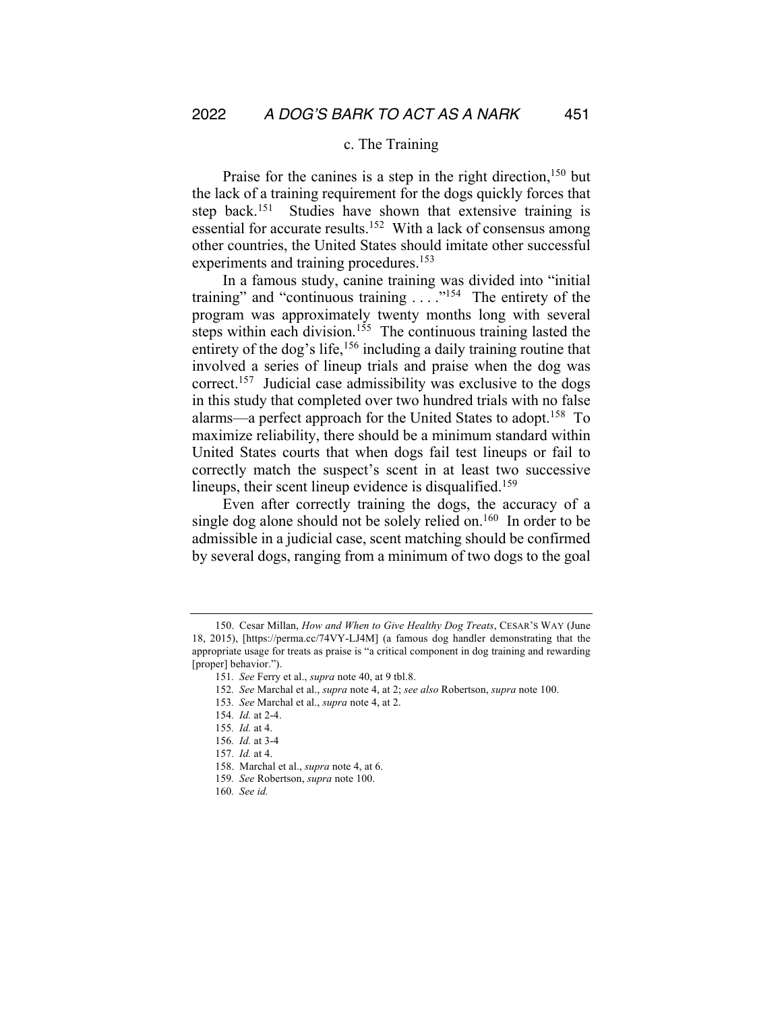#### c. The Training

Praise for the canines is a step in the right direction,<sup>150</sup> but the lack of a training requirement for the dogs quickly forces that step back.<sup>151</sup> Studies have shown that extensive training is essential for accurate results.<sup>152</sup> With a lack of consensus among other countries, the United States should imitate other successful experiments and training procedures.<sup>153</sup>

In a famous study, canine training was divided into "initial training" and "continuous training  $\ldots$ "<sup>154</sup> The entirety of the program was approximately twenty months long with several steps within each division.<sup>155</sup> The continuous training lasted the entirety of the dog's life,<sup>156</sup> including a daily training routine that involved a series of lineup trials and praise when the dog was correct.157 Judicial case admissibility was exclusive to the dogs in this study that completed over two hundred trials with no false alarms—a perfect approach for the United States to adopt.<sup>158</sup> To maximize reliability, there should be a minimum standard within United States courts that when dogs fail test lineups or fail to correctly match the suspect's scent in at least two successive lineups, their scent lineup evidence is disqualified.<sup>159</sup>

Even after correctly training the dogs, the accuracy of a single dog alone should not be solely relied on.<sup>160</sup> In order to be admissible in a judicial case, scent matching should be confirmed by several dogs, ranging from a minimum of two dogs to the goal

153*. See* Marchal et al., *supra* note 4, at 2.

<sup>150.</sup> Cesar Millan, *How and When to Give Healthy Dog Treats*, CESAR'S WAY (June 18, 2015), [https://perma.cc/74VY-LJ4M] (a famous dog handler demonstrating that the appropriate usage for treats as praise is "a critical component in dog training and rewarding [proper] behavior.").

<sup>151</sup>*. See* Ferry et al., *supra* note 40, at 9 tbl.8.

<sup>152</sup>*. See* Marchal et al., *supra* note 4, at 2; *see also* Robertson, *supra* note 100.

<sup>154</sup>*. Id.* at 2-4.

<sup>155</sup>*. Id.* at 4.

<sup>156</sup>*. Id.* at 3-4

<sup>157</sup>*. Id.* at 4.

<sup>158.</sup> Marchal et al., *supra* note 4, at 6.

<sup>159</sup>*. See* Robertson, *supra* note 100.

<sup>160</sup>*. See id.*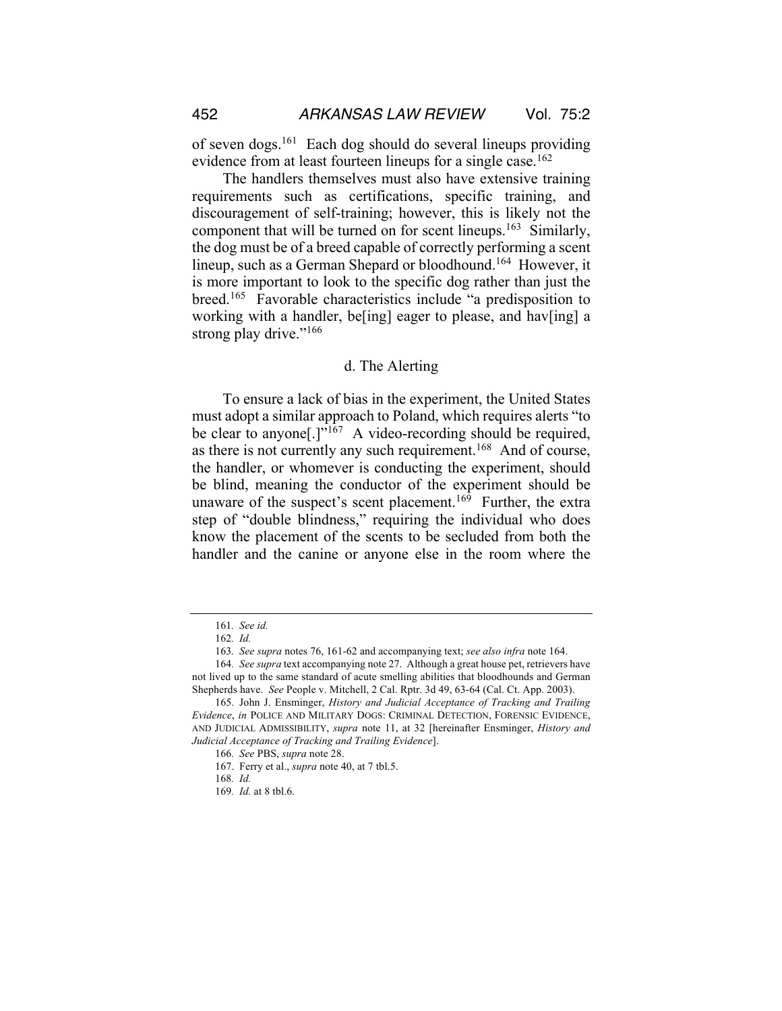of seven dogs.161 Each dog should do several lineups providing evidence from at least fourteen lineups for a single case.<sup>162</sup>

The handlers themselves must also have extensive training requirements such as certifications, specific training, and discouragement of self-training; however, this is likely not the component that will be turned on for scent lineups.163 Similarly, the dog must be of a breed capable of correctly performing a scent lineup, such as a German Shepard or bloodhound.<sup>164</sup> However, it is more important to look to the specific dog rather than just the breed.165 Favorable characteristics include "a predisposition to working with a handler, be<sup>[ing]</sup> eager to please, and hav<sup>[ing]</sup> a strong play drive."<sup>166</sup>

#### d. The Alerting

To ensure a lack of bias in the experiment, the United States must adopt a similar approach to Poland, which requires alerts "to be clear to anyone<sup>[1]</sup><sup> $\frac{1}{167}$ </sup> A video-recording should be required, as there is not currently any such requirement.<sup>168</sup> And of course, the handler, or whomever is conducting the experiment, should be blind, meaning the conductor of the experiment should be unaware of the suspect's scent placement.<sup>169</sup> Further, the extra step of "double blindness," requiring the individual who does know the placement of the scents to be secluded from both the handler and the canine or anyone else in the room where the

<sup>161</sup>*. See id.*

<sup>162</sup>*. Id.*

<sup>163</sup>*. See supra* notes 76, 161-62 and accompanying text; *see also infra* note 164.

<sup>164</sup>*. See supra* text accompanying note 27. Although a great house pet, retrievers have not lived up to the same standard of acute smelling abilities that bloodhounds and German Shepherds have. *See* People v. Mitchell, 2 Cal. Rptr. 3d 49, 63-64 (Cal. Ct. App. 2003).

<sup>165.</sup> John J. Ensminger, *History and Judicial Acceptance of Tracking and Trailing Evidence*, *in* POLICE AND MILITARY DOGS: CRIMINAL DETECTION, FORENSIC EVIDENCE, AND JUDICIAL ADMISSIBILITY, *supra* note 11, at 32 [hereinafter Ensminger, *History and Judicial Acceptance of Tracking and Trailing Evidence*].

<sup>166</sup>*. See* PBS, *supra* note 28.

<sup>167.</sup> Ferry et al., *supra* note 40, at 7 tbl.5.

<sup>168</sup>*. Id.* 

<sup>169</sup>*. Id.* at 8 tbl.6.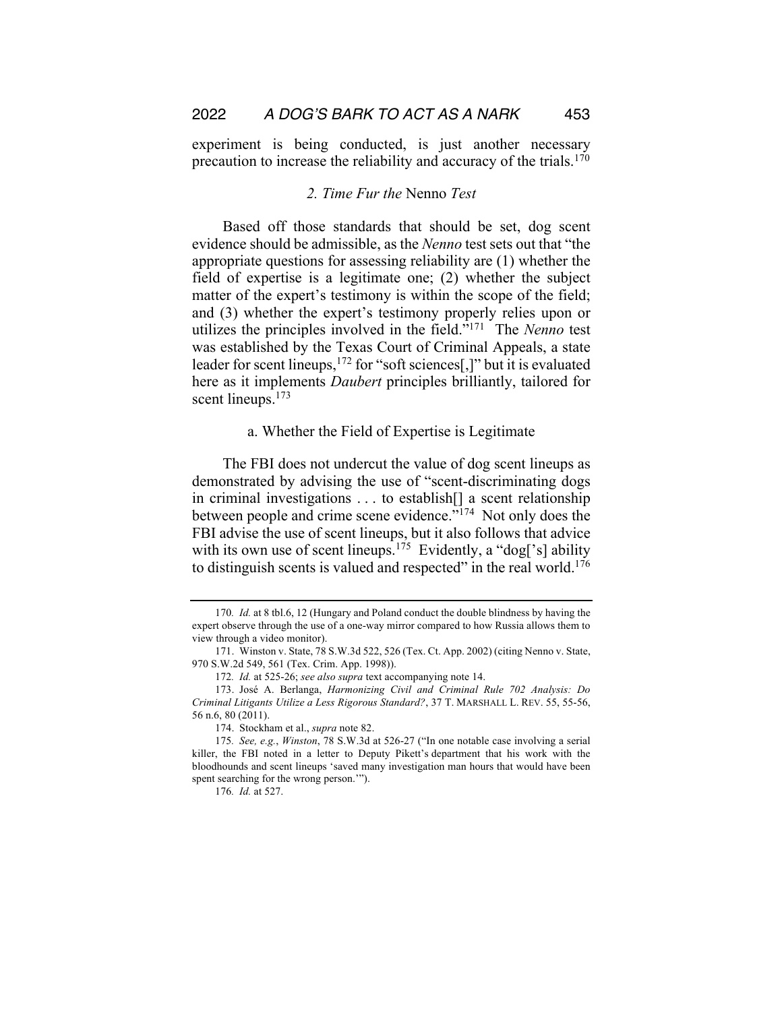experiment is being conducted, is just another necessary precaution to increase the reliability and accuracy of the trials.<sup>170</sup>

### *2. Time Fur the* Nenno *Test*

Based off those standards that should be set, dog scent evidence should be admissible, as the *Nenno* test sets out that "the appropriate questions for assessing reliability are (1) whether the field of expertise is a legitimate one; (2) whether the subject matter of the expert's testimony is within the scope of the field; and (3) whether the expert's testimony properly relies upon or utilizes the principles involved in the field."171 The *Nenno* test was established by the Texas Court of Criminal Appeals, a state leader for scent lineups,  $^{172}$  for "soft sciences[,]" but it is evaluated here as it implements *Daubert* principles brilliantly, tailored for scent lineups.<sup>173</sup>

#### a. Whether the Field of Expertise is Legitimate

The FBI does not undercut the value of dog scent lineups as demonstrated by advising the use of "scent-discriminating dogs in criminal investigations . . . to establish[] a scent relationship between people and crime scene evidence."174 Not only does the FBI advise the use of scent lineups, but it also follows that advice with its own use of scent lineups.<sup>175</sup> Evidently, a "dog['s] ability to distinguish scents is valued and respected" in the real world.176

<sup>170</sup>*. Id.* at 8 tbl.6, 12 (Hungary and Poland conduct the double blindness by having the expert observe through the use of a one-way mirror compared to how Russia allows them to view through a video monitor).

<sup>171.</sup> Winston v. State, 78 S.W.3d 522, 526 (Tex. Ct. App. 2002) (citing Nenno v. State, 970 S.W.2d 549, 561 (Tex. Crim. App. 1998)).

<sup>172</sup>*. Id.* at 525-26; *see also supra* text accompanying note 14.

<sup>173.</sup> José A. Berlanga, *Harmonizing Civil and Criminal Rule 702 Analysis: Do Criminal Litigants Utilize a Less Rigorous Standard?*, 37 T. MARSHALL L. REV. 55, 55-56, 56 n.6, 80 (2011).

<sup>174.</sup> Stockham et al., *supra* note 82.

<sup>175</sup>*. See, e.g.*, *Winston*, 78 S.W.3d at 526-27 ("In one notable case involving a serial killer, the FBI noted in a letter to Deputy Pikett's department that his work with the bloodhounds and scent lineups 'saved many investigation man hours that would have been spent searching for the wrong person.'").

<sup>176</sup>*. Id.* at 527.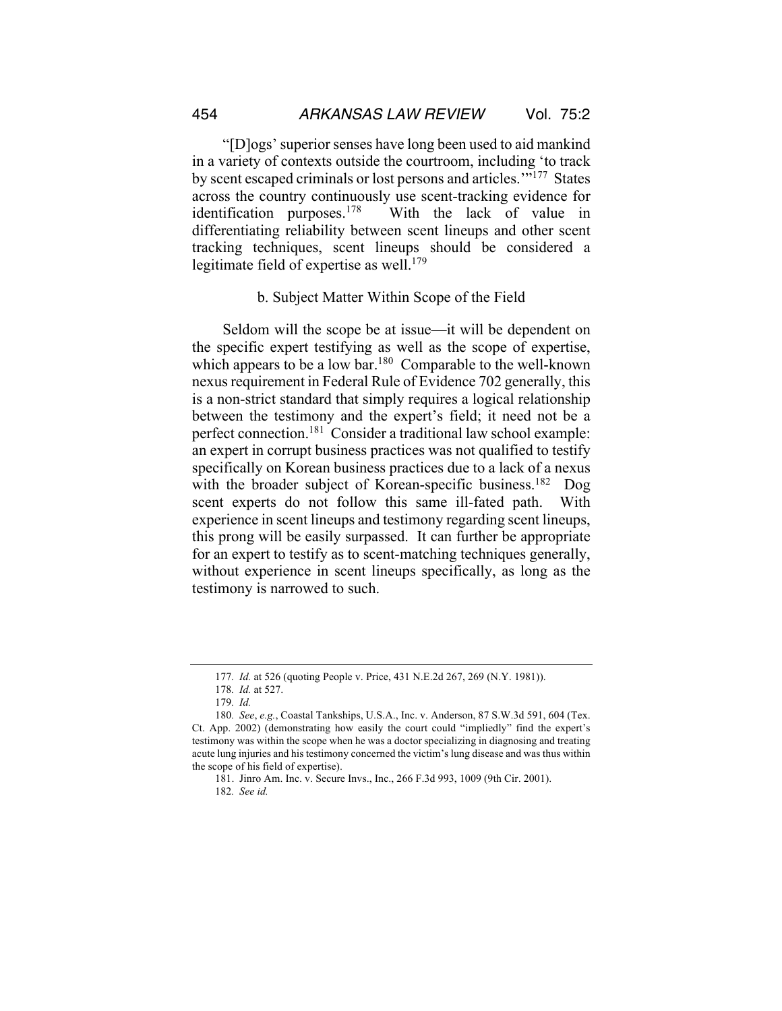"[D]ogs' superior senses have long been used to aid mankind in a variety of contexts outside the courtroom, including 'to track by scent escaped criminals or lost persons and articles.'"177 States across the country continuously use scent-tracking evidence for identification purposes.<sup>178</sup> With the lack of value in differentiating reliability between scent lineups and other scent tracking techniques, scent lineups should be considered a legitimate field of expertise as well.<sup>179</sup>

#### b. Subject Matter Within Scope of the Field

Seldom will the scope be at issue—it will be dependent on the specific expert testifying as well as the scope of expertise, which appears to be a low bar.<sup>180</sup> Comparable to the well-known nexus requirement in Federal Rule of Evidence 702 generally, this is a non-strict standard that simply requires a logical relationship between the testimony and the expert's field; it need not be a perfect connection.181 Consider a traditional law school example: an expert in corrupt business practices was not qualified to testify specifically on Korean business practices due to a lack of a nexus with the broader subject of Korean-specific business.<sup>182</sup> Dog scent experts do not follow this same ill-fated path. With experience in scent lineups and testimony regarding scent lineups, this prong will be easily surpassed. It can further be appropriate for an expert to testify as to scent-matching techniques generally, without experience in scent lineups specifically, as long as the testimony is narrowed to such.

<sup>177</sup>*. Id.* at 526 (quoting People v. Price, 431 N.E.2d 267, 269 (N.Y. 1981)).

<sup>178</sup>*. Id.* at 527.

<sup>179</sup>*. Id.* 

<sup>180</sup>*. See*, *e.g.*, Coastal Tankships, U.S.A., Inc. v. Anderson, 87 S.W.3d 591, 604 (Tex. Ct. App. 2002) (demonstrating how easily the court could "impliedly" find the expert's testimony was within the scope when he was a doctor specializing in diagnosing and treating acute lung injuries and his testimony concerned the victim's lung disease and was thus within the scope of his field of expertise).

<sup>181.</sup> Jinro Am. Inc. v. Secure Invs., Inc., 266 F.3d 993, 1009 (9th Cir. 2001).

<sup>182</sup>*. See id.*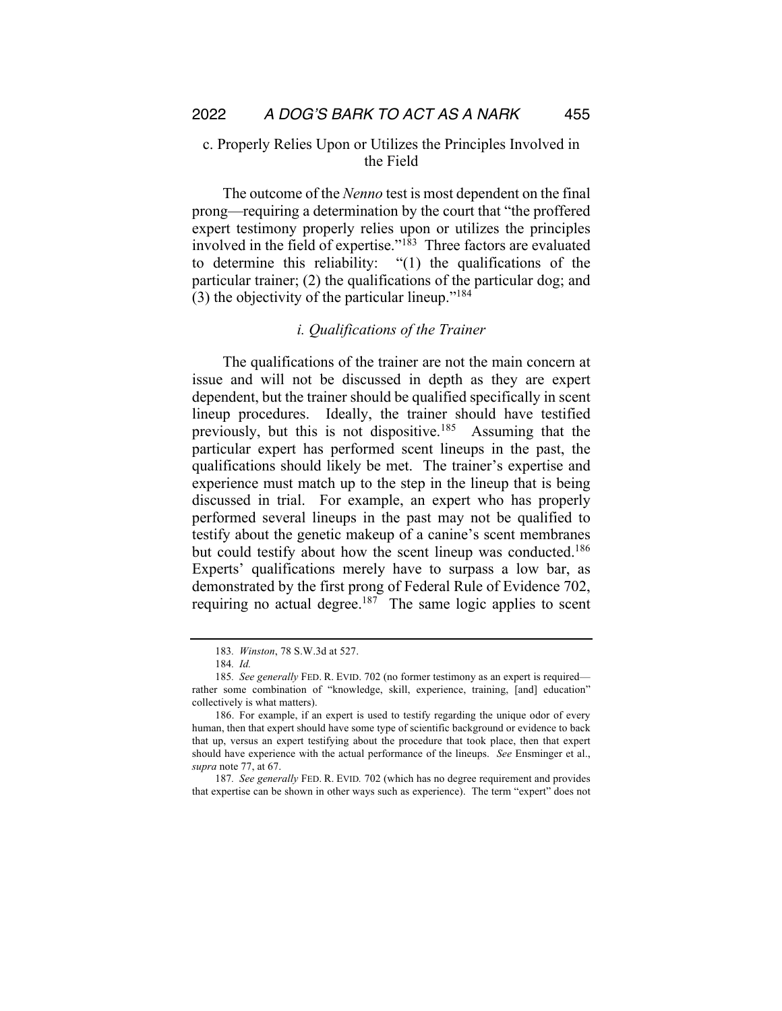## c. Properly Relies Upon or Utilizes the Principles Involved in the Field

The outcome of the *Nenno* test is most dependent on the final prong—requiring a determination by the court that "the proffered expert testimony properly relies upon or utilizes the principles involved in the field of expertise."183 Three factors are evaluated to determine this reliability: "(1) the qualifications of the particular trainer; (2) the qualifications of the particular dog; and (3) the objectivity of the particular lineup."184

## *i. Qualifications of the Trainer*

The qualifications of the trainer are not the main concern at issue and will not be discussed in depth as they are expert dependent, but the trainer should be qualified specifically in scent lineup procedures. Ideally, the trainer should have testified previously, but this is not dispositive.<sup>185</sup> Assuming that the particular expert has performed scent lineups in the past, the qualifications should likely be met. The trainer's expertise and experience must match up to the step in the lineup that is being discussed in trial. For example, an expert who has properly performed several lineups in the past may not be qualified to testify about the genetic makeup of a canine's scent membranes but could testify about how the scent lineup was conducted.<sup>186</sup> Experts' qualifications merely have to surpass a low bar, as demonstrated by the first prong of Federal Rule of Evidence 702, requiring no actual degree.<sup>187</sup> The same logic applies to scent

<sup>183</sup>*. Winston*, 78 S.W.3d at 527.

<sup>184</sup>*. Id.*

<sup>185</sup>*. See generally* FED. R. EVID. 702 (no former testimony as an expert is required rather some combination of "knowledge, skill, experience, training, [and] education" collectively is what matters).

<sup>186.</sup> For example, if an expert is used to testify regarding the unique odor of every human, then that expert should have some type of scientific background or evidence to back that up, versus an expert testifying about the procedure that took place, then that expert should have experience with the actual performance of the lineups. *See* Ensminger et al., *supra* note 77, at 67.

<sup>187</sup>*. See generally* FED. R. EVID*.* 702 (which has no degree requirement and provides that expertise can be shown in other ways such as experience). The term "expert" does not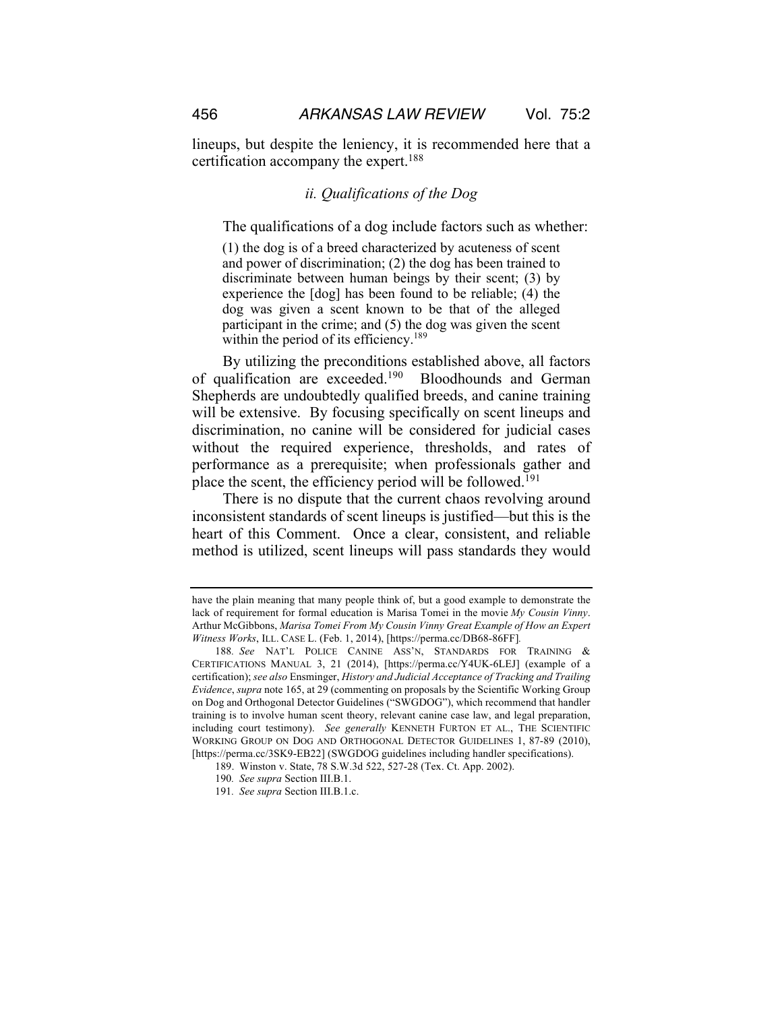lineups, but despite the leniency, it is recommended here that a certification accompany the expert.188

#### *ii. Qualifications of the Dog*

The qualifications of a dog include factors such as whether:

(1) the dog is of a breed characterized by acuteness of scent and power of discrimination; (2) the dog has been trained to discriminate between human beings by their scent; (3) by experience the [dog] has been found to be reliable; (4) the dog was given a scent known to be that of the alleged participant in the crime; and (5) the dog was given the scent within the period of its efficiency.<sup>189</sup>

By utilizing the preconditions established above, all factors of qualification are exceeded.<sup>190</sup> Bloodhounds and German Shepherds are undoubtedly qualified breeds, and canine training will be extensive. By focusing specifically on scent lineups and discrimination, no canine will be considered for judicial cases without the required experience, thresholds, and rates of performance as a prerequisite; when professionals gather and place the scent, the efficiency period will be followed.191

There is no dispute that the current chaos revolving around inconsistent standards of scent lineups is justified—but this is the heart of this Comment. Once a clear, consistent, and reliable method is utilized, scent lineups will pass standards they would

have the plain meaning that many people think of, but a good example to demonstrate the lack of requirement for formal education is Marisa Tomei in the movie *My Cousin Vinny*. Arthur McGibbons, *Marisa Tomei From My Cousin Vinny Great Example of How an Expert Witness Works*, ILL. CASE L. (Feb. 1, 2014), [https://perma.cc/DB68-86FF]*.* 

<sup>188</sup>*. See* NAT'L POLICE CANINE ASS'N, STANDARDS FOR TRAINING & CERTIFICATIONS MANUAL 3, 21 (2014), [https://perma.cc/Y4UK-6LEJ] (example of a certification); *see also* Ensminger, *History and Judicial Acceptance of Tracking and Trailing Evidence*, *supra* note 165, at 29 (commenting on proposals by the Scientific Working Group on Dog and Orthogonal Detector Guidelines ("SWGDOG"), which recommend that handler training is to involve human scent theory, relevant canine case law, and legal preparation, including court testimony). *See generally* KENNETH FURTON ET AL., THE SCIENTIFIC WORKING GROUP ON DOG AND ORTHOGONAL DETECTOR GUIDELINES 1, 87-89 (2010), [https://perma.cc/3SK9-EB22] (SWGDOG guidelines including handler specifications).

<sup>189.</sup> Winston v. State, 78 S.W.3d 522, 527-28 (Tex. Ct. App. 2002).

<sup>190</sup>*. See supra* Section III.B.1.

<sup>191</sup>*. See supra* Section III.B.1.c.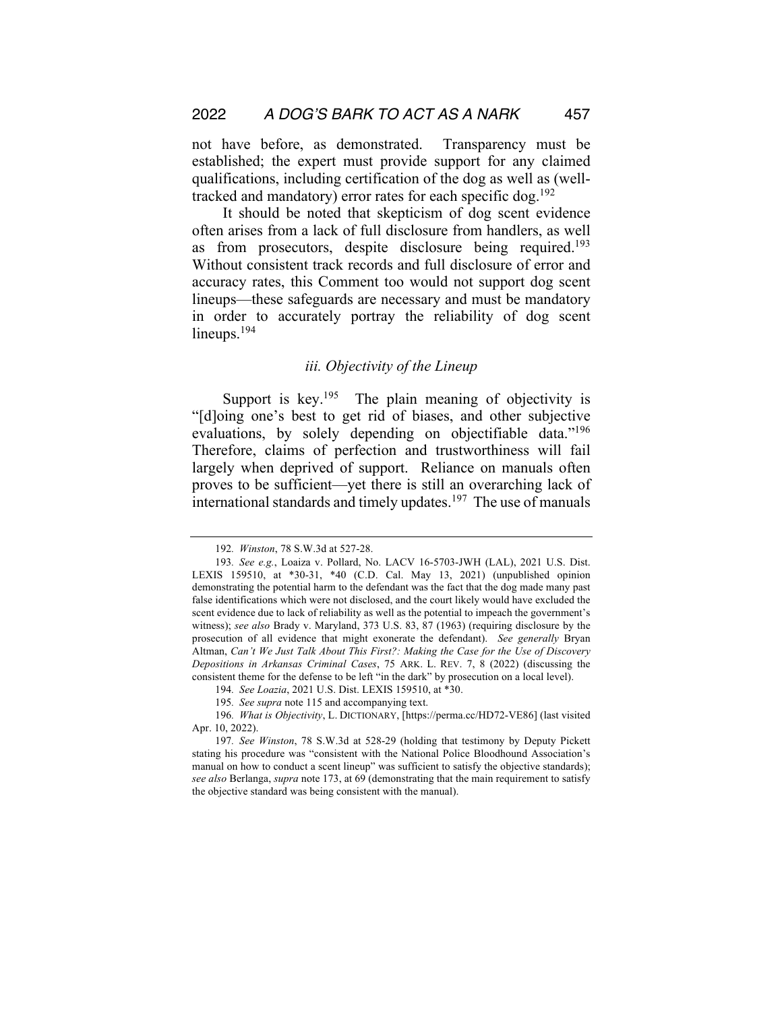not have before, as demonstrated. Transparency must be established; the expert must provide support for any claimed qualifications, including certification of the dog as well as (welltracked and mandatory) error rates for each specific dog.<sup>192</sup>

It should be noted that skepticism of dog scent evidence often arises from a lack of full disclosure from handlers, as well as from prosecutors, despite disclosure being required.<sup>193</sup> Without consistent track records and full disclosure of error and accuracy rates, this Comment too would not support dog scent lineups—these safeguards are necessary and must be mandatory in order to accurately portray the reliability of dog scent lineups.<sup>194</sup>

## *iii. Objectivity of the Lineup*

Support is key.<sup>195</sup> The plain meaning of objectivity is "[d]oing one's best to get rid of biases, and other subjective evaluations, by solely depending on objectifiable data."<sup>196</sup> Therefore, claims of perfection and trustworthiness will fail largely when deprived of support. Reliance on manuals often proves to be sufficient—yet there is still an overarching lack of international standards and timely updates.<sup>197</sup> The use of manuals

<sup>192</sup>*. Winston*, 78 S.W.3d at 527-28.

<sup>193</sup>*. See e.g.*, Loaiza v. Pollard, No. LACV 16-5703-JWH (LAL), 2021 U.S. Dist. LEXIS 159510, at \*30-31, \*40 (C.D. Cal. May 13, 2021) (unpublished opinion demonstrating the potential harm to the defendant was the fact that the dog made many past false identifications which were not disclosed, and the court likely would have excluded the scent evidence due to lack of reliability as well as the potential to impeach the government's witness); *see also* Brady v. Maryland, 373 U.S. 83, 87 (1963) (requiring disclosure by the prosecution of all evidence that might exonerate the defendant). *See generally* Bryan Altman, *Can't We Just Talk About This First?: Making the Case for the Use of Discovery Depositions in Arkansas Criminal Cases*, 75 ARK. L. REV. 7, 8 (2022) (discussing the consistent theme for the defense to be left "in the dark" by prosecution on a local level).

<sup>194</sup>*. See Loazia*, 2021 U.S. Dist. LEXIS 159510, at \*30.

<sup>195</sup>*. See supra* note 115 and accompanying text.

<sup>196</sup>*. What is Objectivity*, L. DICTIONARY, [https://perma.cc/HD72-VE86] (last visited Apr. 10, 2022).

<sup>197</sup>*. See Winston*, 78 S.W.3d at 528-29 (holding that testimony by Deputy Pickett stating his procedure was "consistent with the National Police Bloodhound Association's manual on how to conduct a scent lineup" was sufficient to satisfy the objective standards); *see also* Berlanga, *supra* note 173, at 69 (demonstrating that the main requirement to satisfy the objective standard was being consistent with the manual).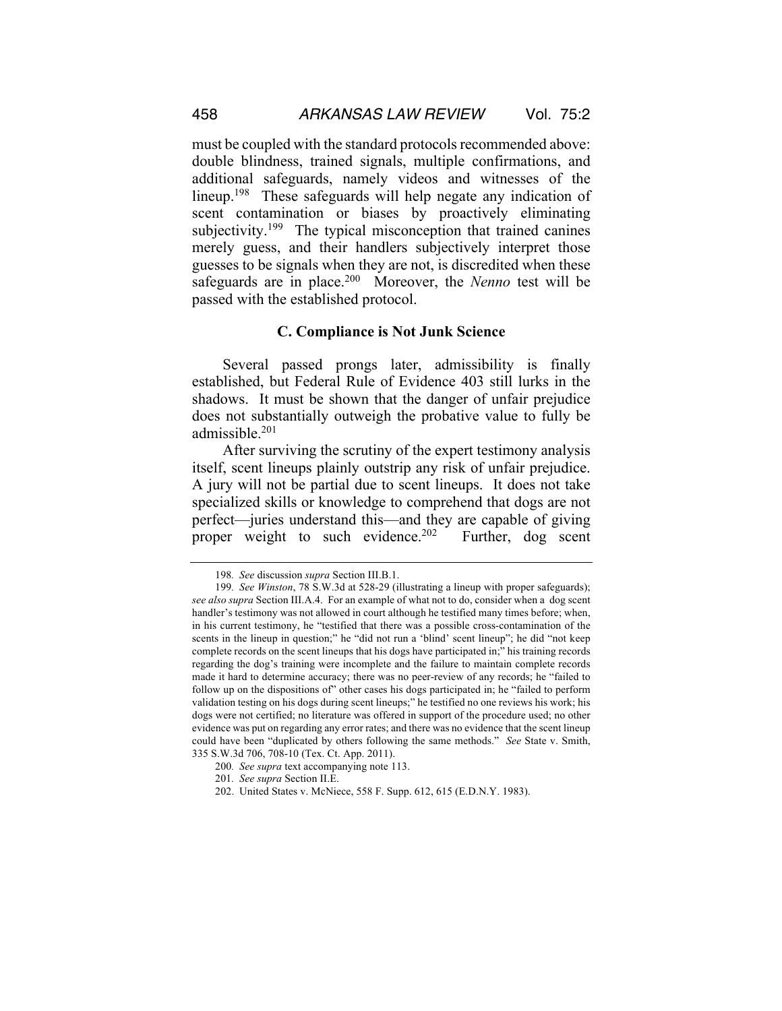must be coupled with the standard protocols recommended above: double blindness, trained signals, multiple confirmations, and additional safeguards, namely videos and witnesses of the lineup.<sup>198</sup> These safeguards will help negate any indication of scent contamination or biases by proactively eliminating subjectivity.<sup>199</sup> The typical misconception that trained canines merely guess, and their handlers subjectively interpret those guesses to be signals when they are not, is discredited when these safeguards are in place.200 Moreover, the *Nenno* test will be passed with the established protocol.

## **C. Compliance is Not Junk Science**

Several passed prongs later, admissibility is finally established, but Federal Rule of Evidence 403 still lurks in the shadows. It must be shown that the danger of unfair prejudice does not substantially outweigh the probative value to fully be admissible.201

After surviving the scrutiny of the expert testimony analysis itself, scent lineups plainly outstrip any risk of unfair prejudice. A jury will not be partial due to scent lineups. It does not take specialized skills or knowledge to comprehend that dogs are not perfect—juries understand this—and they are capable of giving proper weight to such evidence.<sup>202</sup> Further, dog scent

<sup>198</sup>*. See* discussion *supra* Section III.B.1.

<sup>199</sup>*. See Winston*, 78 S.W.3d at 528-29 (illustrating a lineup with proper safeguards); *see also supra* Section III.A.4. For an example of what not to do, consider when a dog scent handler's testimony was not allowed in court although he testified many times before; when, in his current testimony, he "testified that there was a possible cross-contamination of the scents in the lineup in question;" he "did not run a 'blind' scent lineup"; he did "not keep complete records on the scent lineups that his dogs have participated in;" his training records regarding the dog's training were incomplete and the failure to maintain complete records made it hard to determine accuracy; there was no peer-review of any records; he "failed to follow up on the dispositions of" other cases his dogs participated in; he "failed to perform validation testing on his dogs during scent lineups;" he testified no one reviews his work; his dogs were not certified; no literature was offered in support of the procedure used; no other evidence was put on regarding any error rates; and there was no evidence that the scent lineup could have been "duplicated by others following the same methods." *See* State v. Smith, 335 S.W.3d 706, 708-10 (Tex. Ct. App. 2011).

<sup>200</sup>*. See supra* text accompanying note 113.

<sup>201</sup>*. See supra* Section II.E.

<sup>202.</sup> United States v. McNiece, 558 F. Supp. 612, 615 (E.D.N.Y. 1983).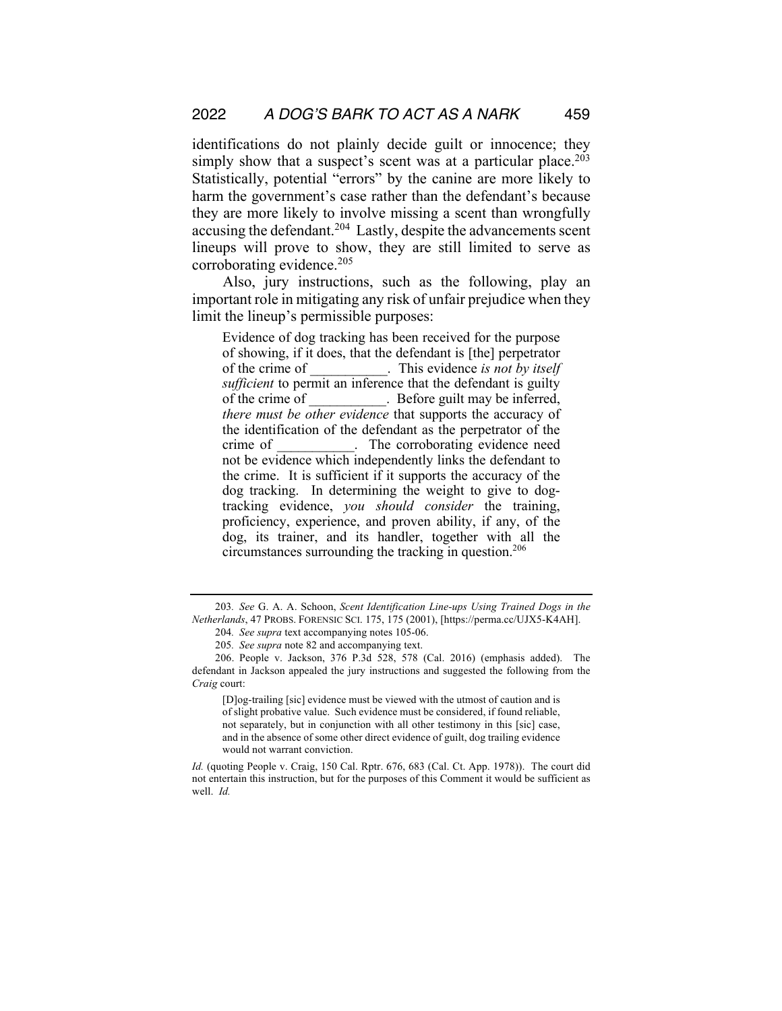identifications do not plainly decide guilt or innocence; they simply show that a suspect's scent was at a particular place.<sup>203</sup> Statistically, potential "errors" by the canine are more likely to harm the government's case rather than the defendant's because they are more likely to involve missing a scent than wrongfully accusing the defendant.204 Lastly, despite the advancements scent lineups will prove to show, they are still limited to serve as corroborating evidence.<sup>205</sup>

Also, jury instructions, such as the following, play an important role in mitigating any risk of unfair prejudice when they limit the lineup's permissible purposes:

Evidence of dog tracking has been received for the purpose of showing, if it does, that the defendant is [the] perpetrator of the crime of \_\_\_\_\_\_\_\_\_\_\_. This evidence *is not by itself sufficient* to permit an inference that the defendant is guilty of the crime of  $\qquad \qquad$  . Before guilt may be inferred, *there must be other evidence* that supports the accuracy of the identification of the defendant as the perpetrator of the crime of The corroborating evidence need not be evidence which independently links the defendant to the crime. It is sufficient if it supports the accuracy of the dog tracking. In determining the weight to give to dogtracking evidence, *you should consider* the training, proficiency, experience, and proven ability, if any, of the dog, its trainer, and its handler, together with all the circumstances surrounding the tracking in question.206

*Id.* (quoting People v. Craig, 150 Cal. Rptr. 676, 683 (Cal. Ct. App. 1978)). The court did not entertain this instruction, but for the purposes of this Comment it would be sufficient as well. *Id.*

<sup>203</sup>*. See* G. A. A. Schoon, *Scent Identification Line-ups Using Trained Dogs in the Netherlands*, 47 PROBS. FORENSIC SCI. 175, 175 (2001), [https://perma.cc/UJX5-K4AH].

<sup>204</sup>*. See supra* text accompanying notes 105-06.

<sup>205</sup>*. See supra* note 82 and accompanying text.

<sup>206.</sup> People v. Jackson, 376 P.3d 528, 578 (Cal. 2016) (emphasis added). The defendant in Jackson appealed the jury instructions and suggested the following from the *Craig* court:

<sup>[</sup>D]og-trailing [sic] evidence must be viewed with the utmost of caution and is of slight probative value. Such evidence must be considered, if found reliable, not separately, but in conjunction with all other testimony in this [sic] case, and in the absence of some other direct evidence of guilt, dog trailing evidence would not warrant conviction.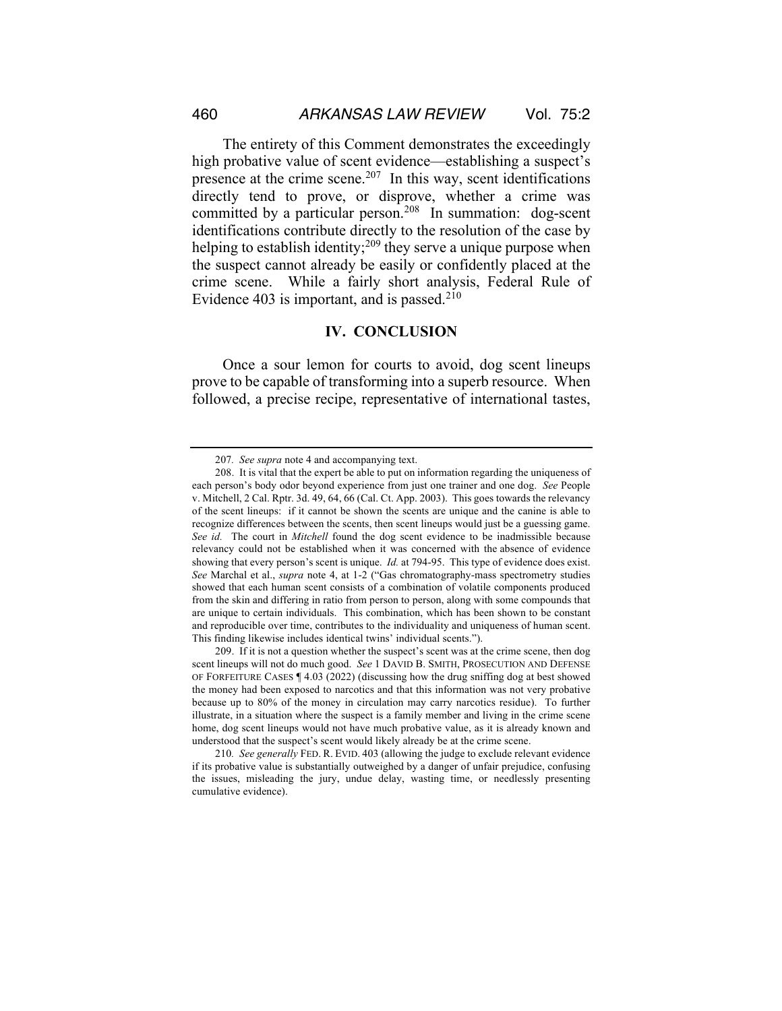The entirety of this Comment demonstrates the exceedingly high probative value of scent evidence—establishing a suspect's presence at the crime scene.<sup>207</sup> In this way, scent identifications directly tend to prove, or disprove, whether a crime was committed by a particular person.208 In summation: dog-scent identifications contribute directly to the resolution of the case by helping to establish identity;  $209$  they serve a unique purpose when the suspect cannot already be easily or confidently placed at the crime scene. While a fairly short analysis, Federal Rule of Evidence 403 is important, and is passed.<sup>210</sup>

#### **IV. CONCLUSION**

Once a sour lemon for courts to avoid, dog scent lineups prove to be capable of transforming into a superb resource. When followed, a precise recipe, representative of international tastes,

<sup>207</sup>*. See supra* note 4 and accompanying text.

<sup>208.</sup> It is vital that the expert be able to put on information regarding the uniqueness of each person's body odor beyond experience from just one trainer and one dog. *See* People v. Mitchell, 2 Cal. Rptr. 3d. 49, 64, 66 (Cal. Ct. App. 2003). This goes towards the relevancy of the scent lineups: if it cannot be shown the scents are unique and the canine is able to recognize differences between the scents, then scent lineups would just be a guessing game. *See id.* The court in *Mitchell* found the dog scent evidence to be inadmissible because relevancy could not be established when it was concerned with the absence of evidence showing that every person's scent is unique. *Id.* at 794-95. This type of evidence does exist. *See* Marchal et al., *supra* note 4, at 1-2 ("Gas chromatography-mass spectrometry studies showed that each human scent consists of a combination of volatile components produced from the skin and differing in ratio from person to person, along with some compounds that are unique to certain individuals. This combination, which has been shown to be constant and reproducible over time, contributes to the individuality and uniqueness of human scent. This finding likewise includes identical twins' individual scents.").

<sup>209.</sup> If it is not a question whether the suspect's scent was at the crime scene, then dog scent lineups will not do much good. *See* 1 DAVID B. SMITH, PROSECUTION AND DEFENSE OF FORFEITURE CASES  $\P$  4.03 (2022) (discussing how the drug sniffing dog at best showed the money had been exposed to narcotics and that this information was not very probative because up to 80% of the money in circulation may carry narcotics residue). To further illustrate, in a situation where the suspect is a family member and living in the crime scene home, dog scent lineups would not have much probative value, as it is already known and understood that the suspect's scent would likely already be at the crime scene.

<sup>210</sup>*. See generally* FED. R. EVID. 403 (allowing the judge to exclude relevant evidence if its probative value is substantially outweighed by a danger of unfair prejudice, confusing the issues, misleading the jury, undue delay, wasting time, or needlessly presenting cumulative evidence).